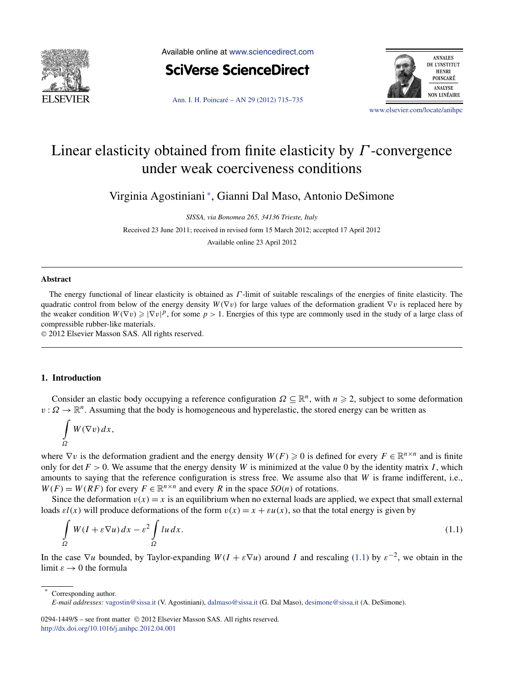<span id="page-0-0"></span>

Available online at [www.sciencedirect.com](http://www.sciencedirect.com)



[Ann. I. H. Poincaré – AN 29 \(2012\) 715–735](http://dx.doi.org/10.1016/j.anihpc.2012.04.001)



[www.elsevier.com/locate/anihpc](http://www.elsevier.com/locate/anihpc)

# Linear elasticity obtained from finite elasticity by *Γ* -convergence under weak coerciveness conditions

Virginia Agostiniani <sup>∗</sup> , Gianni Dal Maso, Antonio DeSimone

*SISSA, via Bonomea 265, 34136 Trieste, Italy*

Received 23 June 2011; received in revised form 15 March 2012; accepted 17 April 2012

Available online 23 April 2012

#### **Abstract**

The energy functional of linear elasticity is obtained as *Γ* -limit of suitable rescalings of the energies of finite elasticity. The quadratic control from below of the energy density *W(*∇*v)* for large values of the deformation gradient ∇*v* is replaced here by the weaker condition  $W(\nabla v) \ge |\nabla v|^p$ , for some  $p > 1$ . Energies of this type are commonly used in the study of a large class of compressible rubber-like materials.

© 2012 Elsevier Masson SAS. All rights reserved.

## **1. Introduction**

Consider an elastic body occupying a reference configuration  $\Omega \subseteq \mathbb{R}^n$ , with  $n \geq 2$ , subject to some deformation *v* :  $Ω \rightarrow \mathbb{R}^n$ . Assuming that the body is homogeneous and hyperelastic, the stored energy can be written as

$$
\int\limits_{\Omega} W(\nabla v) \, dx,
$$

where  $\nabla v$  is the deformation gradient and the energy density  $W(F) \geq 0$  is defined for every  $F \in \mathbb{R}^{n \times n}$  and is finite only for det  $F > 0$ . We assume that the energy density *W* is minimized at the value 0 by the identity matrix *I*, which amounts to saying that the reference configuration is stress free. We assume also that *W* is frame indifferent, i.e.,  $W(F) = W(RF)$  for every  $F \in \mathbb{R}^{n \times n}$  and every *R* in the space  $SO(n)$  of rotations.

Since the deformation  $v(x) = x$  is an equilibrium when no external loads are applied, we expect that small external loads  $\varepsilon l(x)$  will produce deformations of the form  $v(x) = x + \varepsilon u(x)$ , so that the total energy is given by

$$
\int_{\Omega} W(I + \varepsilon \nabla u) dx - \varepsilon^2 \int_{\Omega} l u dx.
$$
\n(1.1)

In the case  $\nabla u$  bounded, by Taylor-expanding  $W(I + \varepsilon \nabla u)$  around *I* and rescaling (1.1) by  $\varepsilon^{-2}$ , we obtain in the limit  $\varepsilon \to 0$  the formula

Corresponding author.

0294-1449/\$ – see front matter © 2012 Elsevier Masson SAS. All rights reserved. <http://dx.doi.org/10.1016/j.anihpc.2012.04.001>

*E-mail addresses:* [vagostin@sissa.it](mailto:vagostin@sissa.it) (V. Agostiniani), [dalmaso@sissa.it](mailto:dalmaso@sissa.it) (G. Dal Maso), [desimone@sissa.it](mailto:desimone@sissa.it) (A. DeSimone).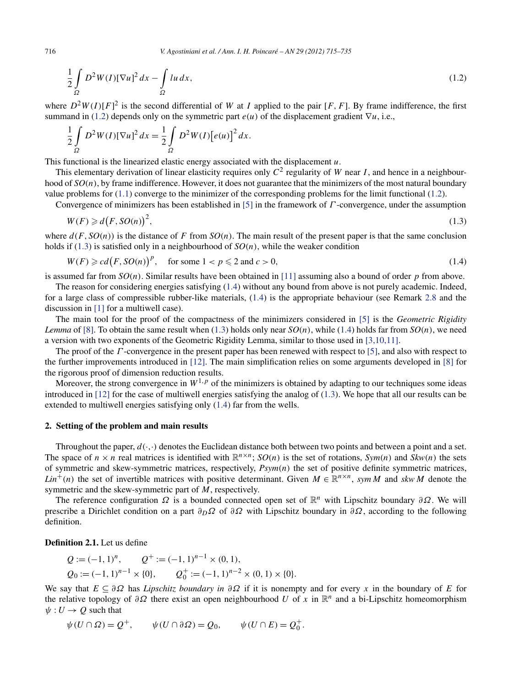$$
\frac{1}{2} \int_{\Omega} D^2 W(I) [\nabla u]^2 dx - \int_{\Omega} l u dx,
$$
\n(1.2)

where  $D^2W(I)[F]^2$  is the second differential of W at *I* applied to the pair [F, F]. By frame indifference, the first summand in (1.2) depends only on the symmetric part  $e(u)$  of the displacement gradient  $\nabla u$ , i.e.,

$$
\frac{1}{2}\int_{\Omega} D^2W(I)[\nabla u]^2 dx = \frac{1}{2}\int_{\Omega} D^2W(I)[e(u)]^2 dx.
$$

This functional is the linearized elastic energy associated with the displacement *u*.

This elementary derivation of linear elasticity requires only  $C^2$  regularity of *W* near *I*, and hence in a neighbourhood of  $SO(n)$ , by frame indifference. However, it does not guarantee that the minimizers of the most natural boundary value problems for [\(1.1\)](#page-0-0) converge to the minimizer of the corresponding problems for the limit functional (1.2).

Convergence of minimizers has been established in [\[5\]](#page-20-0) in the framework of *Γ* -convergence, under the assumption

$$
W(F) \geq d(F, SO(n))^2, \tag{1.3}
$$

where  $d(F, SO(n))$  is the distance of F from  $SO(n)$ . The main result of the present paper is that the same conclusion holds if (1.3) is satisfied only in a neighbourhood of *SO(n)*, while the weaker condition

$$
W(F) \geqslant cd(F, SO(n))^p, \quad \text{for some } 1 < p \leqslant 2 \text{ and } c > 0,\tag{1.4}
$$

is assumed far from *SO(n)*. Similar results have been obtained in [\[11\]](#page-20-0) assuming also a bound of order *p* from above.

The reason for considering energies satisfying (1.4) without any bound from above is not purely academic. Indeed, for a large class of compressible rubber-like materials, (1.4) is the appropriate behaviour (see Remark [2.8](#page-4-0) and the discussion in [\[1\]](#page-20-0) for a multiwell case).

The main tool for the proof of the compactness of the minimizers considered in [\[5\]](#page-20-0) is the *Geometric Rigidity Lemma* of [\[8\].](#page-20-0) To obtain the same result when (1.3) holds only near  $SO(n)$ , while (1.4) holds far from  $SO(n)$ , we need a version with two exponents of the Geometric Rigidity Lemma, similar to those used in [\[3,10,11\].](#page-20-0)

The proof of the *Γ* -convergence in the present paper has been renewed with respect to [\[5\],](#page-20-0) and also with respect to the further improvements introduced in [\[12\].](#page-20-0) The main simplification relies on some arguments developed in [\[8\]](#page-20-0) for the rigorous proof of dimension reduction results.

Moreover, the strong convergence in  $W^{1,p}$  of the minimizers is obtained by adapting to our techniques some ideas introduced in [\[12\]](#page-20-0) for the case of multiwell energies satisfying the analog of (1.3). We hope that all our results can be extended to multiwell energies satisfying only (1.4) far from the wells.

## **2. Setting of the problem and main results**

Throughout the paper,  $d(\cdot, \cdot)$  denotes the Euclidean distance both between two points and between a point and a set. The space of  $n \times n$  real matrices is identified with  $\mathbb{R}^{n \times n}$ ;  $SO(n)$  is the set of rotations,  $Sym(n)$  and  $Skw(n)$  the sets of symmetric and skew-symmetric matrices, respectively, *Psym(n)* the set of positive definite symmetric matrices, *Lin<sup>+</sup>*(*n*) the set of invertible matrices with positive determinant. Given  $M \in \mathbb{R}^{n \times n}$ , *sym M* and *skw M* denote the symmetric and the skew-symmetric part of *M*, respectively.

The reference configuration  $\Omega$  is a bounded connected open set of  $\mathbb{R}^n$  with Lipschitz boundary  $\partial \Omega$ . We will prescribe a Dirichlet condition on a part  $\partial_D \Omega$  of  $\partial \Omega$  with Lipschitz boundary in  $\partial \Omega$ , according to the following definition.

**Definition 2.1.** Let us define

$$
Q := (-1, 1)^n, \qquad Q^+ := (-1, 1)^{n-1} \times (0, 1),
$$
  
\n
$$
Q_0 := (-1, 1)^{n-1} \times \{0\}, \qquad Q_0^+ := (-1, 1)^{n-2} \times (0, 1) \times \{0\}.
$$

We say that *E* ⊆ *∂Ω* has *Lipschitz boundary in ∂Ω* if it is nonempty and for every *x* in the boundary of *E* for the relative topology of *∂Ω* there exist an open neighbourhood *U* of *x* in R*<sup>n</sup>* and a bi-Lipschitz homeomorphism  $\psi: U \to Q$  such that

$$
\psi(U \cap \Omega) = Q^+, \qquad \psi(U \cap \partial \Omega) = Q_0, \qquad \psi(U \cap E) = Q_0^+.
$$

<span id="page-1-0"></span>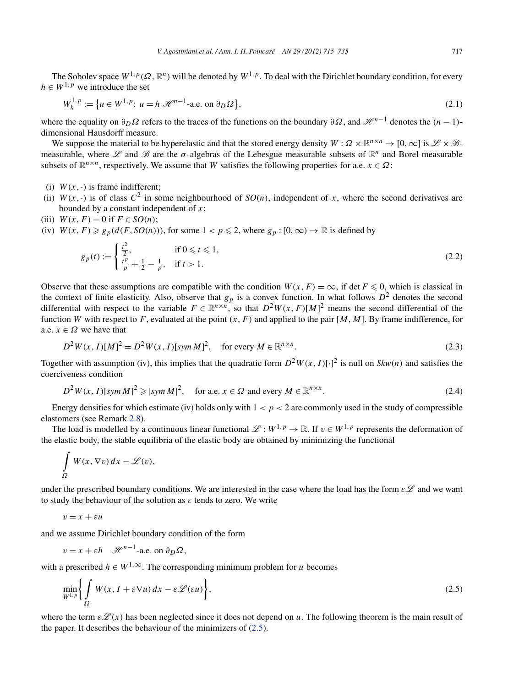<span id="page-2-0"></span>The Sobolev space  $W^{1,p}(\Omega,\mathbb{R}^n)$  will be denoted by  $W^{1,p}$ . To deal with the Dirichlet boundary condition, for every  $h \in W^{1,p}$  we introduce the set

$$
W_h^{1,p} := \{ u \in W^{1,p} : u = h \, \mathcal{H}^{n-1}\text{-a.e. on } \partial_D \Omega \},\tag{2.1}
$$

where the equality on  $\partial_D \Omega$  refers to the traces of the functions on the boundary  $\partial \Omega$ , and  $\mathcal{H}^{n-1}$  denotes the  $(n-1)$ dimensional Hausdorff measure.

We suppose the material to be hyperelastic and that the stored energy density  $W : \Omega \times \mathbb{R}^{n \times n} \to [0, \infty]$  is  $\mathscr{L} \times \mathscr{B}$ measurable, where  $\mathscr L$  and  $\mathscr B$  are the  $\sigma$ -algebras of the Lebesgue measurable subsets of  $\mathbb R^n$  and Borel measurable subsets of  $\mathbb{R}^{n \times n}$ , respectively. We assume that *W* satisfies the following properties for a.e.  $x \in \Omega$ :

- (i)  $W(x, \cdot)$  is frame indifferent;
- (ii)  $W(x, \cdot)$  is of class  $C^2$  in some neighbourhood of  $SO(n)$ , independent of x, where the second derivatives are bounded by a constant independent of *x*;
- (iii)  $W(x, F) = 0$  if  $F \in SO(n)$ ;
- (iv)  $W(x, F) \ge g_p(d(F, SO(n)))$ , for some  $1 < p \le 2$ , where  $g_p : [0, \infty) \to \mathbb{R}$  is defined by

$$
g_p(t) := \begin{cases} \frac{t^2}{2}, & \text{if } 0 \leq t \leq 1, \\ \frac{t^p}{p} + \frac{1}{2} - \frac{1}{p}, & \text{if } t > 1. \end{cases} \tag{2.2}
$$

Observe that these assumptions are compatible with the condition  $W(x, F) = \infty$ , if det  $F \le 0$ , which is classical in the context of finite elasticity. Also, observe that  $g_p$  is a convex function. In what follows  $D^2$  denotes the second differential with respect to the variable  $F \in \mathbb{R}^{n \times n}$ , so that  $D^2W(x, F)[M]^2$  means the second differential of the function *W* with respect to *F*, evaluated at the point  $(x, F)$  and applied to the pair  $[M, M]$ . By frame indifference, for a.e.  $x \in \Omega$  we have that

$$
D^{2}W(x, I)[M]^{2} = D^{2}W(x, I)[sym M]^{2}, \text{ for every } M \in \mathbb{R}^{n \times n}.
$$
 (2.3)

Together with assumption (iv), this implies that the quadratic form  $D^2W(x, I)[\cdot]^2$  is null on  $Skw(n)$  and satisfies the coerciveness condition

$$
D^{2}W(x, I)[sym M]^{2} \geqslant |sym M|^{2}, \quad \text{for a.e. } x \in \Omega \text{ and every } M \in \mathbb{R}^{n \times n}.
$$
 (2.4)

Energy densities for which estimate (iv) holds only with  $1 < p < 2$  are commonly used in the study of compressible elastomers (see Remark [2.8\)](#page-4-0).

The load is modelled by a continuous linear functional  $\mathcal{L}: W^{1,p} \to \mathbb{R}$ . If  $v \in W^{1,p}$  represents the deformation of the elastic body, the stable equilibria of the elastic body are obtained by minimizing the functional

$$
\int_{\Omega} W(x, \nabla v) dx - \mathscr{L}(v),
$$

under the prescribed boundary conditions. We are interested in the case where the load has the form  $\epsilon\mathscr{L}$  and we want to study the behaviour of the solution as *ε* tends to zero. We write

$$
v = x + \varepsilon u
$$

and we assume Dirichlet boundary condition of the form

$$
v = x + \varepsilon h \quad \mathscr{H}^{n-1}\text{-a.e. on } \partial_D \Omega,
$$

with a prescribed  $h \in W^{1,\infty}$ . The corresponding minimum problem for *u* becomes

$$
\min_{W^{1,p}} \left\{ \int_{\Omega} W(x, I + \varepsilon \nabla u) dx - \varepsilon \mathcal{L}(\varepsilon u) \right\},\tag{2.5}
$$

where the term  $\epsilon L(x)$  has been neglected since it does not depend on *u*. The following theorem is the main result of the paper. It describes the behaviour of the minimizers of (2.5).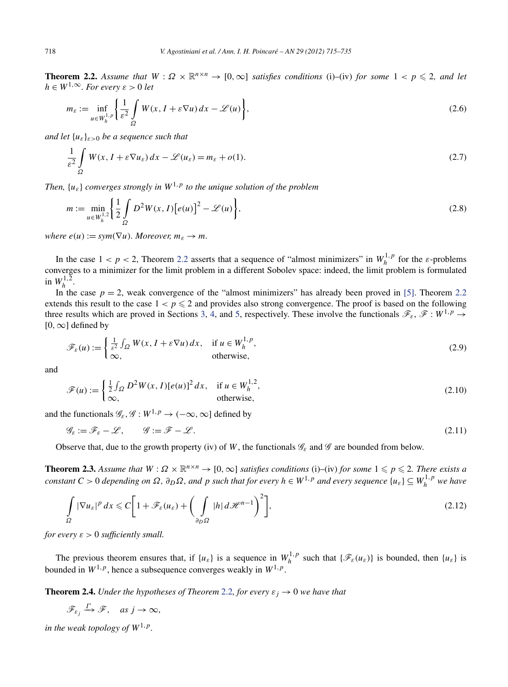<span id="page-3-0"></span>**Theorem 2.2.** Assume that  $W: \Omega \times \mathbb{R}^{n \times n} \to [0, \infty]$  satisfies conditions (i)–(iv) for some  $1 < p \leq 2$ , and let  $h \in W^{1,\infty}$ *. For every*  $\varepsilon > 0$  *let* 

$$
m_{\varepsilon} := \inf_{u \in W_h^{1,p}} \left\{ \frac{1}{\varepsilon^2} \int\limits_{\Omega} W(x, I + \varepsilon \nabla u) \, dx - \mathcal{L}(u) \right\},\tag{2.6}
$$

*and let* {*uε*}*ε>*<sup>0</sup> *be a sequence such that*

$$
\frac{1}{\varepsilon^2} \int\limits_{\Omega} W(x, I + \varepsilon \nabla u_{\varepsilon}) dx - \mathcal{L}(u_{\varepsilon}) = m_{\varepsilon} + o(1).
$$
\n(2.7)

*Then,*  $\{u_{\varepsilon}\}\)$  *converges strongly in*  $W^{1,p}$  *to the unique solution of the problem* 

$$
m := \min_{u \in W_h^{1,2}} \left\{ \frac{1}{2} \int_{\Omega} D^2 W(x, I) [e(u)]^2 - \mathcal{L}(u) \right\},\tag{2.8}
$$

*where*  $e(u) := sym(\nabla u)$ *. Moreover,*  $m_{\varepsilon} \to m$ *.* 

In the case  $1 < p < 2$ , Theorem 2.2 asserts that a sequence of "almost minimizers" in  $W_h^{1,p}$  for the *ε*-problems converges to a minimizer for the limit problem in a different Sobolev space: indeed, the limit problem is formulated in  $W_h^{1,2}$ .

In the case  $p = 2$ , weak convergence of the "almost minimizers" has already been proved in [\[5\].](#page-20-0) Theorem 2.2 extends this result to the case  $1 < p \le 2$  and provides also strong convergence. The proof is based on the following three results which are proved in Sections [3,](#page-6-0) [4,](#page-11-0) and [5,](#page-13-0) respectively. These involve the functionals  $\mathscr{F}_{\varepsilon}, \mathscr{F}: W^{1,p} \to$ [0*,*∞] defined by

$$
\mathscr{F}_{\varepsilon}(u) := \begin{cases} \frac{1}{\varepsilon^2} \int_{\Omega} W(x, I + \varepsilon \nabla u) dx, & \text{if } u \in W_h^{1, p}, \\ \infty, & \text{otherwise}, \end{cases}
$$
(2.9)

and

$$
\mathcal{F}(u) := \begin{cases} \frac{1}{2} \int_{\Omega} D^2 W(x, I) [e(u)]^2 dx, & \text{if } u \in W_h^{1,2}, \\ \infty, & \text{otherwise}, \end{cases}
$$
 (2.10)

and the functionals  $\mathcal{G}_{\varepsilon}, \mathcal{G}: W^{1,p} \to (-\infty, \infty]$  defined by

$$
\mathcal{G}_{\varepsilon} := \mathcal{F}_{\varepsilon} - \mathcal{L}, \qquad \mathcal{G} := \mathcal{F} - \mathcal{L}. \tag{2.11}
$$

Observe that, due to the growth property (iv) of *W*, the functionals  $\mathscr{G}_{\varepsilon}$  and  $\mathscr{G}$  are bounded from below.

**Theorem 2.3.** Assume that  $W: \Omega \times \mathbb{R}^{n \times n} \to [0, \infty]$  satisfies conditions (i)–(iv) for some  $1 \leq p \leq 2$ . There exists a constant  $C>0$  depending on  $\Omega$ ,  $\partial_D\Omega$ , and p such that for every  $h\in W^{1,p}$  and every sequence  $\{u_\varepsilon\}\subseteq W^{1,p}_h$  we have

$$
\int_{\Omega} |\nabla u_{\varepsilon}|^p dx \leq C \bigg[ 1 + \mathscr{F}_{\varepsilon}(u_{\varepsilon}) + \bigg( \int_{\partial_D \Omega} |h| d\mathscr{H}^{n-1} \bigg)^2 \bigg],\tag{2.12}
$$

*for every*  $\varepsilon > 0$  *sufficiently small.* 

The previous theorem ensures that, if  $\{u_{\varepsilon}\}\)$  is a sequence in  $W_h^{1,p}$  such that  $\{\mathscr{F}_{\varepsilon}(u_{\varepsilon})\}$  is bounded, then  $\{u_{\varepsilon}\}\)$ bounded in  $W^{1,p}$ , hence a subsequence converges weakly in  $W^{1,p}$ .

**Theorem 2.4.** *Under the hypotheses of Theorem 2.2, for every*  $\varepsilon_i \to 0$  *we have that* 

$$
\mathscr{F}_{\varepsilon_j} \xrightarrow{\Gamma} \mathscr{F}, \quad \text{as } j \to \infty,
$$

*in the weak topology of*  $W^{1,p}$ *.*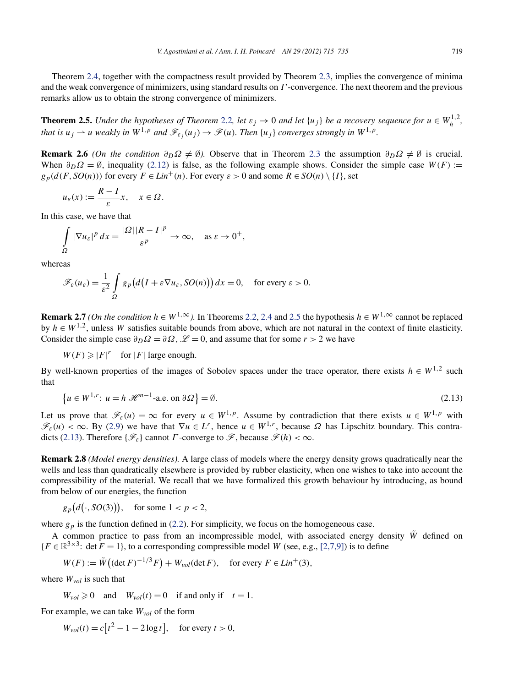<span id="page-4-0"></span>Theorem [2.4,](#page-3-0) together with the compactness result provided by Theorem [2.3,](#page-3-0) implies the convergence of minima and the weak convergence of minimizers, using standard results on *Γ* -convergence. The next theorem and the previous remarks allow us to obtain the strong convergence of minimizers.

**Theorem 2.5.** *Under the hypotheses of Theorem* [2.2](#page-3-0), *let*  $\varepsilon_j \to 0$  *and let*  $\{u_j\}$  *be a recovery sequence for*  $u \in W_h^{1,2}$ , *that is*  $u_j \rightharpoonup u$  *weakly in*  $W^{1,p}$  *and*  $\mathcal{F}_{\varepsilon}(u_j) \rightharpoonup \mathcal{F}(u)$ *. Then*  $\{u_j\}$  *converges strongly in*  $W^{1,p}$ *.* 

**Remark 2.6** *(On the condition*  $\partial D\Omega \neq \emptyset$ ). Observe that in Theorem [2.3](#page-3-0) the assumption  $\partial D\Omega \neq \emptyset$  is crucial. When  $\partial D\Omega = \emptyset$ , inequality [\(2.12\)](#page-3-0) is false, as the following example shows. Consider the simple case *W(F)* :=  $g_p(d(F, SO(n)))$  for every  $F \in Lin^+(n)$ . For every  $\varepsilon > 0$  and some  $R \in SO(n) \setminus \{I\}$ , set

$$
u_{\varepsilon}(x) := \frac{R - I}{\varepsilon} x, \quad x \in \Omega.
$$

In this case, we have that

$$
\int_{\Omega} |\nabla u_{\varepsilon}|^p dx = \frac{|\Omega||R - I|^p}{\varepsilon^p} \to \infty, \quad \text{as } \varepsilon \to 0^+,
$$

whereas

$$
\mathscr{F}_{\varepsilon}(u_{\varepsilon}) = \frac{1}{\varepsilon^2} \int_{\Omega} g_p\big(d\big(I + \varepsilon \nabla u_{\varepsilon}, SO(n)\big)\big) dx = 0, \quad \text{for every } \varepsilon > 0.
$$

**Remark 2.7** *(On the condition*  $h \in W^{1,\infty}$ ). In Theorems [2.2,](#page-3-0) [2.4](#page-3-0) and 2.5 the hypothesis  $h \in W^{1,\infty}$  cannot be replaced by  $h \in W^{1,2}$ , unless *W* satisfies suitable bounds from above, which are not natural in the context of finite elasticity. Consider the simple case  $\partial_D \Omega = \partial \Omega$ ,  $\mathcal{L} = 0$ , and assume that for some  $r > 2$  we have

 $W(F) \geqslant |F|^{r}$  for  $|F|$  large enough.

By well-known properties of the images of Sobolev spaces under the trace operator, there exists  $h \in W^{1,2}$  such that

$$
\{u \in W^{1,r}: u = h \mathcal{H}^{n-1}\text{-a.e. on } \partial \Omega\} = \emptyset.
$$
\n
$$
(2.13)
$$

Let us prove that  $\mathcal{F}_{\varepsilon}(u) = \infty$  for every  $u \in W^{1,p}$ . Assume by contradiction that there exists  $u \in W^{1,p}$  with  $\mathscr{F}_{\varepsilon}(u) < \infty$ . By [\(2.9\)](#page-3-0) we have that  $\nabla u \in L^r$ , hence  $u \in W^{1,r}$ , because  $\Omega$  has Lipschitz boundary. This contradicts (2.13). Therefore  $\{\mathscr{F}_{\varepsilon}\}\)$  cannot *Γ* -converge to  $\mathscr{F}$ , because  $\mathscr{F}(h) < \infty$ .

**Remark 2.8** *(Model energy densities).* A large class of models where the energy density grows quadratically near the wells and less than quadratically elsewhere is provided by rubber elasticity, when one wishes to take into account the compressibility of the material. We recall that we have formalized this growth behaviour by introducing, as bound from below of our energies, the function

$$
g_p(d(\cdot, SO(3))),
$$
 for some  $1 < p < 2,$ 

where  $g_p$  is the function defined in [\(2.2\)](#page-2-0). For simplicity, we focus on the homogeneous case.

A common practice to pass from an incompressible model, with associated energy density  $\tilde{W}$  defined on  ${F \in \mathbb{R}^{3 \times 3}: \det F = 1},$  to a corresponding compressible model *W* (see, e.g., [\[2,7,9\]\)](#page-20-0) is to define

$$
W(F) := \tilde{W}\big((\det F)^{-1/3}F\big) + W_{vol}(\det F), \quad \text{for every } F \in Lin^+(3),
$$

where *Wvol* is such that

$$
W_{vol} \ge 0
$$
 and  $W_{vol}(t) = 0$  if and only if  $t = 1$ .

For example, we can take *Wvol* of the form

 $W_{vol}(t) = c[t^2 - 1 - 2 \log t],$  for every  $t > 0$ ,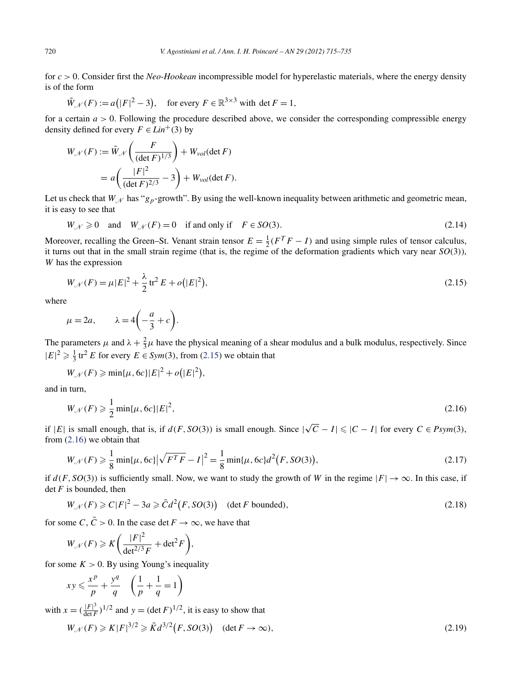<span id="page-5-0"></span>for *c >* 0. Consider first the *Neo-Hookean* incompressible model for hyperelastic materials, where the energy density is of the form

$$
\tilde{W}_{\mathscr{N}}(F) := a(|F|^2 - 3), \quad \text{for every } F \in \mathbb{R}^{3 \times 3} \text{ with } \det F = 1,
$$

for a certain *a >* 0. Following the procedure described above, we consider the corresponding compressible energy density defined for every  $F \in Lin^+(3)$  by

$$
W_{\mathcal{N}}(F) := \tilde{W}_{\mathcal{N}}\left(\frac{F}{(\det F)^{1/3}}\right) + W_{vol}(\det F)
$$

$$
= a\left(\frac{|F|^2}{(\det F)^{2/3}} - 3\right) + W_{vol}(\det F).
$$

Let us check that  $W_N$  has " $g_p$ -growth". By using the well-known inequality between arithmetic and geometric mean, it is easy to see that

$$
W_{\mathcal{N}} \ge 0 \quad \text{and} \quad W_{\mathcal{N}}(F) = 0 \quad \text{if and only if} \quad F \in SO(3). \tag{2.14}
$$

Moreover, recalling the Green–St. Venant strain tensor  $E = \frac{1}{2}(F^T F - I)$  and using simple rules of tensor calculus, it turns out that in the small strain regime (that is, the regime of the deformation gradients which vary near *SO(*3*)*), *W* has the expression

$$
W_{\mathcal{N}}(F) = \mu |E|^2 + \frac{\lambda}{2} \text{tr}^2 E + o(|E|^2),\tag{2.15}
$$

where

$$
\mu = 2a
$$
,  $\lambda = 4\left(-\frac{a}{3} + c\right)$ .

The parameters  $\mu$  and  $\lambda + \frac{2}{3}\mu$  have the physical meaning of a shear modulus and a bulk modulus, respectively. Since  $|E|^2 \ge \frac{1}{3}$  tr<sup>2</sup> *E* for every  $E \in Sym(3)$ , from (2.15) we obtain that

$$
W_{\mathscr{N}}(F) \geqslant \min\{\mu, 6c\} |E|^2 + o(|E|^2),
$$

and in turn,

$$
W_{\mathcal{N}}(F) \geq \frac{1}{2} \min{\{\mu, 6c\}} |E|^2,
$$
\n(2.16)

if  $|E|$  is small enough, that is, if *d*(*F*, *SO*(3)) is small enough. Since  $|\sqrt{C} - I| \leq |C - I|$  for every *C* ∈ *Psym*(3), from (2.16) we obtain that

$$
W_{\mathcal{N}}(F) \geqslant \frac{1}{8} \min\{\mu, 6c\} \left|\sqrt{F^T F} - I\right|^2 = \frac{1}{8} \min\{\mu, 6c\} d^2(F, SO(3)),\tag{2.17}
$$

if  $d(F, SO(3))$  is sufficiently small. Now, we want to study the growth of *W* in the regime  $|F| \to \infty$ . In this case, if det*F* is bounded, then

$$
W_{\mathcal{N}}(F) \geqslant C|F|^2 - 3a \geqslant \tilde{C}d^2(F, SO(3)) \quad (\text{det } F \text{ bounded}),\tag{2.18}
$$

for some *C*,  $\tilde{C} > 0$ . In the case det  $F \to \infty$ , we have that

$$
W_{\mathcal{N}}(F) \geqslant K \bigg( \frac{|F|^2}{\det^{2/3} F} + \det^2 F \bigg),
$$

for some  $K > 0$ . By using Young's inequality

$$
xy \leqslant \frac{x^p}{p} + \frac{y^q}{q} \quad \left(\frac{1}{p} + \frac{1}{q} = 1\right)
$$

with  $x = (\frac{|F|^3}{\det F})^{1/2}$  and  $y = (\det F)^{1/2}$ , it is easy to show that

$$
W_{\mathcal{N}}(F) \ge K|F|^{3/2} \ge \tilde{K}d^{3/2}(F, SO(3)) \quad (\det F \to \infty), \tag{2.19}
$$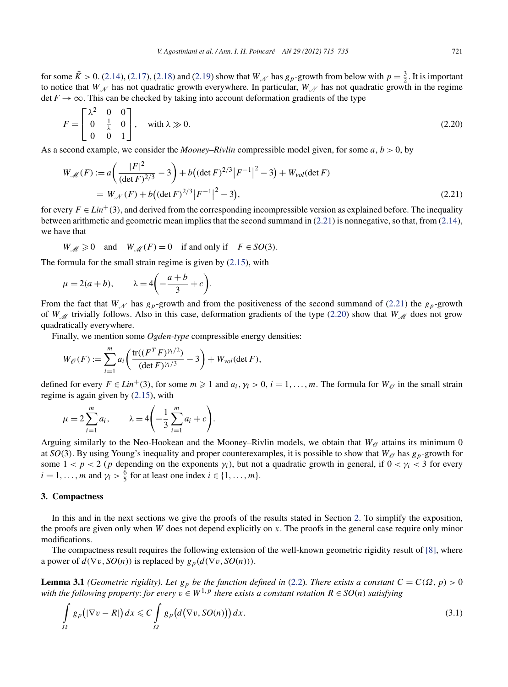<span id="page-6-0"></span>for some  $\tilde{K} > 0$ . [\(2.14\)](#page-5-0), [\(2.17\)](#page-5-0), [\(2.18\)](#page-5-0) and [\(2.19\)](#page-5-0) show that  $W_N$  has  $g_p$ -growth from below with  $p = \frac{3}{2}$ . It is important to notice that  $W_N$  has not quadratic growth everywhere. In particular,  $W_N$  has not quadratic growth in the regime det  $F \to \infty$ . This can be checked by taking into account deformation gradients of the type

$$
F = \begin{bmatrix} \lambda^2 & 0 & 0 \\ 0 & \frac{1}{\lambda} & 0 \\ 0 & 0 & 1 \end{bmatrix}, \quad \text{with } \lambda \gg 0. \tag{2.20}
$$

As a second example, we consider the *Mooney–Rivlin* compressible model given, for some *a*, *b >* 0, by

$$
W_{\mathcal{M}}(F) := a\left(\frac{|F|^2}{(\det F)^{2/3}} - 3\right) + b\left((\det F)^{2/3} |F^{-1}|^2 - 3\right) + W_{\text{vol}}(\det F)
$$
  
=  $W_{\mathcal{N}}(F) + b\left((\det F)^{2/3} |F^{-1}|^2 - 3\right),$  (2.21)

for every  $F \in Lin^+(3)$ , and derived from the corresponding incompressible version as explained before. The inequality between arithmetic and geometric mean implies that the second summand in (2.21) is nonnegative, so that, from [\(2.14\)](#page-5-0), we have that

$$
W_M \ge 0
$$
 and  $W_M(F) = 0$  if and only if  $F \in SO(3)$ .

The formula for the small strain regime is given by [\(2.15\)](#page-5-0), with

$$
\mu = 2(a+b),
$$
\n $\lambda = 4\left(-\frac{a+b}{3} + c\right).$ 

From the fact that  $W_N$  has  $g_p$ -growth and from the positiveness of the second summand of (2.21) the  $g_p$ -growth of *W*<sub>M</sub> trivially follows. Also in this case, deformation gradients of the type (2.20) show that *W*<sub>M</sub> does not grow quadratically everywhere.

Finally, we mention some *Ogden-type* compressible energy densities:

$$
W_{\mathcal{O}}(F) := \sum_{i=1}^{m} a_i \left( \frac{\text{tr}((F^T F)^{\gamma_i/2})}{(\det F)^{\gamma_i/3}} - 3 \right) + W_{vol}(\det F),
$$

defined for every  $F \in Lin^+(3)$ , for some  $m \geq 1$  and  $a_i, \gamma_i > 0$ ,  $i = 1, \ldots, m$ . The formula for  $W_{\mathcal{O}}$  in the small strain regime is again given by [\(2.15\)](#page-5-0), with

$$
\mu = 2 \sum_{i=1}^{m} a_i, \qquad \lambda = 4 \left( -\frac{1}{3} \sum_{i=1}^{m} a_i + c \right).
$$

Arguing similarly to the Neo-Hookean and the Mooney–Rivlin models, we obtain that  $W_{\mathcal{O}}$  attains its minimum 0 at  $SO(3)$ . By using Young's inequality and proper counterexamples, it is possible to show that  $W_{\mathscr{O}}$  has  $g_p$ -growth for some  $1 < p < 2$  (*p* depending on the exponents  $\gamma_i$ ), but not a quadratic growth in general, if  $0 < \gamma_i < 3$  for every  $i = 1, \ldots, m$  and  $\gamma_i > \frac{6}{5}$  for at least one index  $i \in \{1, \ldots, m\}.$ 

#### **3. Compactness**

In this and in the next sections we give the proofs of the results stated in Section [2.](#page-1-0) To simplify the exposition, the proofs are given only when *W* does not depend explicitly on *x*. The proofs in the general case require only minor modifications.

The compactness result requires the following extension of the well-known geometric rigidity result of [\[8\],](#page-20-0) where a power of  $d(\nabla v, SO(n))$  is replaced by  $g_p(d(\nabla v, SO(n)))$ .

**Lemma 3.1** *(Geometric rigidity). Let*  $g_p$  *be the function defined in* [\(2.2\)](#page-2-0)*. There exists a constant*  $C = C(\Omega, p) > 0$ *with the following property: for every*  $v \in W^{1,p}$  *there exists a constant rotation*  $R \in SO(n)$  *satisfying* 

$$
\int_{\Omega} g_p(|\nabla v - R|) dx \leqslant C \int_{\Omega} g_p(d(\nabla v, SO(n))) dx.
$$
\n(3.1)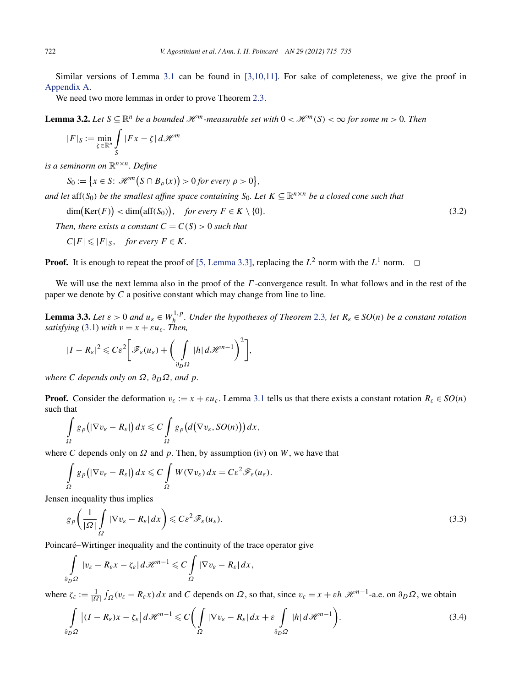<span id="page-7-0"></span>Similar versions of Lemma [3.1](#page-6-0) can be found in [\[3,10,11\].](#page-20-0) For sake of completeness, we give the proof in [Appendix A.](#page-17-0)

We need two more lemmas in order to prove Theorem [2.3.](#page-3-0)

**Lemma 3.2.** Let  $S \subseteq \mathbb{R}^n$  be a bounded  $\mathcal{H}^m$ -measurable set with  $0 < \mathcal{H}^m(S) < \infty$  for some  $m > 0$ . Then

$$
|F|_S := \min_{\zeta \in \mathbb{R}^n} \int_S |Fx - \zeta| d\mathcal{H}^m
$$

*is a seminorm on* R*n*×*n. Define*

 $S_0 := \{x \in S: \mathcal{H}^m(S \cap B_\rho(x)) > 0 \text{ for every } \rho > 0\},\$ 

*and let* aff( $S_0$ ) *be the smallest affine space containing*  $S_0$ *. Let*  $K \subseteq \mathbb{R}^{n \times n}$  *be a closed cone such that* 

dim(Ker(F)) < dim(aff(S<sub>0</sub>)), for every  $F \in K \setminus \{0\}$ . (3.2)

*Then, there exists a constant*  $C = C(S) > 0$  *such that* 

$$
C|F| \leqslant |F|_S, \quad \text{for every } F \in K.
$$

**Proof.** It is enough to repeat the proof of [\[5, Lemma 3.3\],](#page-20-0) replacing the  $L^2$  norm with the  $L^1$  norm.  $\Box$ 

We will use the next lemma also in the proof of the *Γ* -convergence result. In what follows and in the rest of the paper we denote by *C* a positive constant which may change from line to line.

**Lemma 3.3.** Let  $\varepsilon > 0$  and  $u_{\varepsilon} \in W_h^{1,p}$ . Under the hypotheses of Theorem [2.3](#page-3-0), let  $R_{\varepsilon} \in SO(n)$  be a constant rotation *satisfying* [\(3.1\)](#page-6-0) *with*  $v = x + \varepsilon u_{\varepsilon}$ *. Then,* 

$$
|I - R_{\varepsilon}|^2 \leq C \varepsilon^2 \Bigg[ \mathscr{F}_{\varepsilon}(u_{\varepsilon}) + \bigg( \int_{\partial_D \Omega} |h| \, d\mathscr{H}^{n-1} \bigg)^2 \Bigg],
$$

*where C depends only on*  $\Omega$ *,*  $\partial_D \Omega$ *, and*  $p$ *.* 

**Proof.** Consider the deformation  $v_{\varepsilon} := x + \varepsilon u_{\varepsilon}$ . Lemma [3.1](#page-6-0) tells us that there exists a constant rotation  $R_{\varepsilon} \in SO(n)$ such that

$$
\int_{\Omega} g_p(|\nabla v_{\varepsilon}-R_{\varepsilon}|) dx \leqslant C \int_{\Omega} g_p(d(\nabla v_{\varepsilon},SO(n))) dx,
$$

where *C* depends only on  $\Omega$  and  $p$ . Then, by assumption (iv) on *W*, we have that

$$
\int_{\Omega} g_p(|\nabla v_{\varepsilon} - R_{\varepsilon}|) dx \leqslant C \int_{\Omega} W(\nabla v_{\varepsilon}) dx = C \varepsilon^2 \mathscr{F}_{\varepsilon}(u_{\varepsilon}).
$$

Jensen inequality thus implies

$$
g_p\left(\frac{1}{|\Omega|}\int\limits_{\Omega}|\nabla v_{\varepsilon}-R_{\varepsilon}|dx\right)\leqslant C\varepsilon^2\mathscr{F}_{\varepsilon}(u_{\varepsilon}).\tag{3.3}
$$

Poincaré–Wirtinger inequality and the continuity of the trace operator give

$$
\int_{\partial_D \Omega} |v_{\varepsilon} - R_{\varepsilon} x - \zeta_{\varepsilon}| d\mathscr{H}^{n-1} \leqslant C \int_{\Omega} |\nabla v_{\varepsilon} - R_{\varepsilon}| dx,
$$

where  $\zeta_{\varepsilon} := \frac{1}{|\Omega|} \int_{\Omega} (v_{\varepsilon} - R_{\varepsilon} x) dx$  and *C* depends on  $\Omega$ , so that, since  $v_{\varepsilon} = x + \varepsilon h \mathcal{H}^{n-1}$ -a.e. on  $\partial_D \Omega$ , we obtain

$$
\int_{\partial_D \Omega} |(I - R_{\varepsilon})x - \zeta_{\varepsilon}| d\mathcal{H}^{n-1} \leq C \bigg( \int_{\Omega} |\nabla v_{\varepsilon} - R_{\varepsilon}| dx + \varepsilon \int_{\partial_D \Omega} |h| d\mathcal{H}^{n-1} \bigg). \tag{3.4}
$$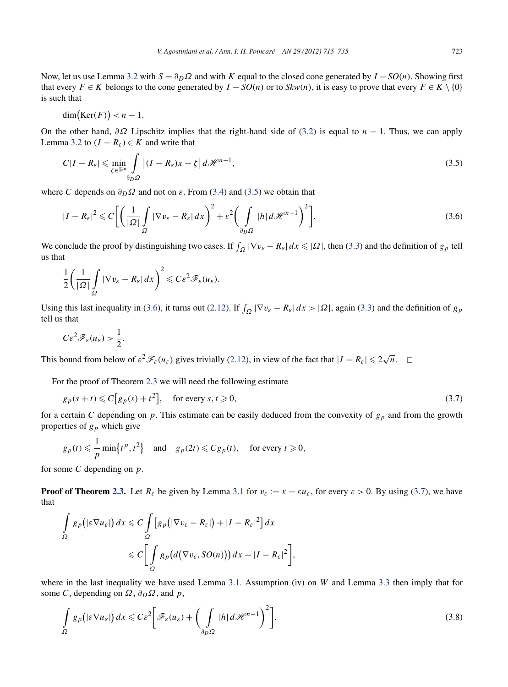<span id="page-8-0"></span>Now, let us use Lemma [3.2](#page-7-0) with  $S = \partial_D \Omega$  and with *K* equal to the closed cone generated by  $I - SO(n)$ . Showing first that every  $F \in K$  belongs to the cone generated by  $I - SO(n)$  or to  $Skw(n)$ , it is easy to prove that every  $F \in K \setminus \{0\}$ is such that

$$
\dim(\text{Ker}(F)) < n-1.
$$

On the other hand, *∂Ω* Lipschitz implies that the right-hand side of [\(3.2\)](#page-7-0) is equal to *n* − 1. Thus, we can apply Lemma [3.2](#page-7-0) to  $(I - R_{\varepsilon}) \in K$  and write that

$$
C|I - R_{\varepsilon}| \leqslant \min_{\zeta \in \mathbb{R}^n} \int_{\partial_D \Omega} \left| (I - R_{\varepsilon})x - \zeta \right| d\mathcal{H}^{n-1},\tag{3.5}
$$

where *C* depends on  $\partial_D \Omega$  and not on  $\varepsilon$ . From [\(3.4\)](#page-7-0) and (3.5) we obtain that

$$
|I - R_{\varepsilon}|^2 \leq C \bigg[ \bigg( \frac{1}{|\Omega|} \int_{\Omega} |\nabla v_{\varepsilon} - R_{\varepsilon}| \, dx \bigg)^2 + \varepsilon^2 \bigg( \int_{\partial_D \Omega} |h| \, d\mathcal{H}^{n-1} \bigg)^2 \bigg]. \tag{3.6}
$$

We conclude the proof by distinguishing two cases. If  $\int_{\Omega} |\nabla v_{\varepsilon} - R_{\varepsilon}| dx \leq |\Omega|$ , then [\(3.3\)](#page-7-0) and the definition of  $g_p$  tell us that

$$
\frac{1}{2}\bigg(\frac{1}{|\Omega|}\int_{\Omega}|\nabla v_{\varepsilon}-R_{\varepsilon}|dx\bigg)^2\leqslant C\varepsilon^2\mathscr{F}_{\varepsilon}(u_{\varepsilon}).
$$

Using this last inequality in (3.6), it turns out [\(2.12\)](#page-3-0). If  $\int_{\Omega} |\nabla v_{\varepsilon} - R_{\varepsilon}| dx > |\Omega|$ , again [\(3.3\)](#page-7-0) and the definition of  $g_p$ tell us that

$$
C\varepsilon^2 \mathscr{F}_\varepsilon(u_\varepsilon) > \frac{1}{2}.
$$

This bound from below of  $\varepsilon^2 \mathcal{F}_\varepsilon(u_\varepsilon)$  gives trivially [\(2.12\)](#page-3-0), in view of the fact that  $|I - R_\varepsilon| \leq 2\sqrt{n}$ .  $\Box$ 

For the proof of Theorem [2.3](#page-3-0) we will need the following estimate

$$
g_p(s+t) \leq C[g_p(s)+t^2], \quad \text{for every } s, t \geq 0,
$$
\n
$$
(3.7)
$$

for a certain *C* depending on  $p$ . This estimate can be easily deduced from the convexity of  $g_p$  and from the growth properties of *gp* which give

$$
g_p(t) \leq \frac{1}{p} \min\{t^p, t^2\}
$$
 and  $g_p(2t) \leq C g_p(t)$ , for every  $t \geq 0$ ,

for some *C* depending on *p*.

**Proof of Theorem [2.3.](#page-3-0)** Let  $R_{\varepsilon}$  be given by Lemma [3.1](#page-6-0) for  $v_{\varepsilon} := x + \varepsilon u_{\varepsilon}$ , for every  $\varepsilon > 0$ . By using (3.7), we have that

$$
\int_{\Omega} g_p(|\varepsilon \nabla u_{\varepsilon}|) dx \leq C \int_{\Omega} [g_p(|\nabla v_{\varepsilon} - R_{\varepsilon}|) + |I - R_{\varepsilon}|^2] dx
$$
  

$$
\leq C \Biggl[ \int_{\Omega} g_p(d(\nabla v_{\varepsilon}, SO(n))) dx + |I - R_{\varepsilon}|^2 \Biggr],
$$

where in the last inequality we have used Lemma [3.1.](#page-6-0) Assumption (iv) on *W* and Lemma [3.3](#page-7-0) then imply that for some *C*, depending on  $\Omega$ ,  $\partial_D \Omega$ , and *p*,

$$
\int_{\Omega} g_p(|\varepsilon \nabla u_{\varepsilon}|) dx \leqslant C \varepsilon^2 \bigg[ \mathcal{F}_{\varepsilon}(u_{\varepsilon}) + \bigg( \int_{\partial_D \Omega} |h| d\mathcal{H}^{n-1} \bigg)^2 \bigg]. \tag{3.8}
$$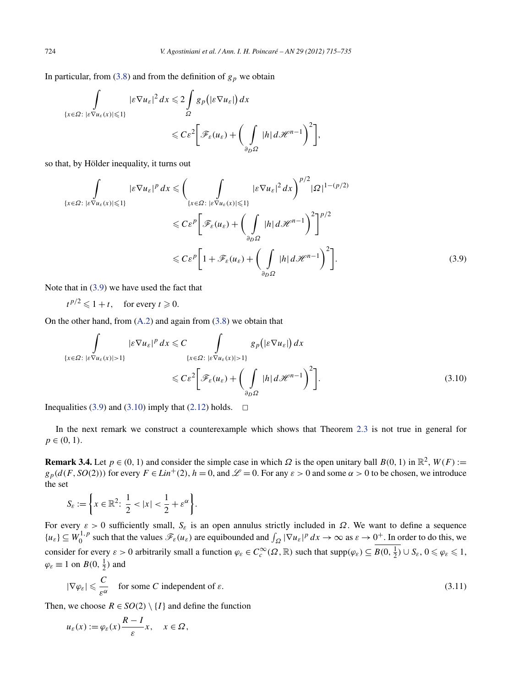<span id="page-9-0"></span>In particular, from [\(3.8\)](#page-8-0) and from the definition of  $g_p$  we obtain

$$
\int_{\{x \in \Omega : \, |\varepsilon \nabla u_{\varepsilon}(x)| \leq 1\}} |\varepsilon \nabla u_{\varepsilon}|^2 dx \leq 2 \int_{\Omega} g_p(|\varepsilon \nabla u_{\varepsilon}|) dx
$$
  

$$
\leq C \varepsilon^2 \bigg[ \mathcal{F}_{\varepsilon}(u_{\varepsilon}) + \bigg( \int_{\partial_D \Omega} |h| d\mathcal{H}^{n-1} \bigg)^2 \bigg],
$$

so that, by Hölder inequality, it turns out

$$
\int_{\{x \in \Omega : \, |\varepsilon \nabla u_{\varepsilon}(x)| \le 1\}} |\varepsilon \nabla u_{\varepsilon}|^p \, dx \le \left( \int_{\{x \in \Omega : \, |\varepsilon \nabla u_{\varepsilon}(x)| \le 1\}} |\varepsilon \nabla u_{\varepsilon}|^2 \, dx \right)^{p/2} |\Omega|^{1 - (p/2)}
$$
\n
$$
\le C \varepsilon^p \left[ \mathcal{F}_{\varepsilon}(u_{\varepsilon}) + \left( \int_{\partial_D \Omega} |h| \, d\mathcal{H}^{n-1} \right)^2 \right]^{p/2}
$$
\n
$$
\le C \varepsilon^p \left[ 1 + \mathcal{F}_{\varepsilon}(u_{\varepsilon}) + \left( \int_{\partial_D \Omega} |h| \, d\mathcal{H}^{n-1} \right)^2 \right]. \tag{3.9}
$$

Note that in (3.9) we have used the fact that

 $t^{p/2} \leq 1 + t$ , for every  $t \geq 0$ .

On the other hand, from [\(A.2\)](#page-17-0) and again from [\(3.8\)](#page-8-0) we obtain that

$$
\int_{\{x \in \Omega : \, |\varepsilon \nabla u_{\varepsilon}(x)| > 1\}} |\varepsilon \nabla u_{\varepsilon}|^p \, dx \leq C \int_{\{x \in \Omega : \, |\varepsilon \nabla u_{\varepsilon}(x)| > 1\}} g_p\big(|\varepsilon \nabla u_{\varepsilon}|\big) \, dx
$$
\n
$$
\leq C \varepsilon^2 \bigg[ \mathcal{F}_{\varepsilon}(u_{\varepsilon}) + \bigg( \int_{\partial_D \Omega} |h| \, d\mathcal{H}^{n-1} \bigg)^2 \bigg]. \tag{3.10}
$$

Inequalities (3.9) and (3.10) imply that [\(2.12\)](#page-3-0) holds.  $\Box$ 

In the next remark we construct a counterexample which shows that Theorem [2.3](#page-3-0) is not true in general for  $p \in (0, 1)$ .

**Remark 3.4.** Let  $p \in (0, 1)$  and consider the simple case in which  $\Omega$  is the open unitary ball  $B(0, 1)$  in  $\mathbb{R}^2$ ,  $W(F) :=$  $g_p(d(F, SO(2)))$  for every  $F \in Lin^+(2)$ ,  $h = 0$ , and  $\mathscr{L} = 0$ . For any  $\varepsilon > 0$  and some  $\alpha > 0$  to be chosen, we introduce the set

$$
S_{\varepsilon} := \left\{ x \in \mathbb{R}^2 \colon \frac{1}{2} < |x| < \frac{1}{2} + \varepsilon^{\alpha} \right\}.
$$

For every  $\varepsilon > 0$  sufficiently small,  $S_{\varepsilon}$  is an open annulus strictly included in  $\Omega$ . We want to define a sequence  ${u_{\varepsilon}} \subseteq W_0^{1,p}$  such that the values  $\mathscr{F}_{\varepsilon}(u_{\varepsilon})$  are equibounded and  $\int_{\Omega} |\nabla u_{\varepsilon}|^p dx \to \infty$  as  $\varepsilon \to 0^+$ . In order to do this, we consider for every  $\varepsilon > 0$  arbitrarily small a function  $\varphi_{\varepsilon} \in C_c^{\infty}(\Omega, \mathbb{R})$  such that  $\text{supp}(\varphi_{\varepsilon}) \subseteq B(0, \frac{1}{2}) \cup S_{\varepsilon}, 0 \le \varphi_{\varepsilon} \le 1$ ,  $\varphi_{\varepsilon} \equiv 1$  on  $B(0, \frac{1}{2})$  and

$$
|\nabla \varphi_{\varepsilon}| \leqslant \frac{C}{\varepsilon^{\alpha}} \quad \text{for some } C \text{ independent of } \varepsilon. \tag{3.11}
$$

Then, we choose  $R \in SO(2) \setminus \{I\}$  and define the function

$$
u_{\varepsilon}(x) := \varphi_{\varepsilon}(x) \frac{R - I}{\varepsilon} x, \quad x \in \Omega,
$$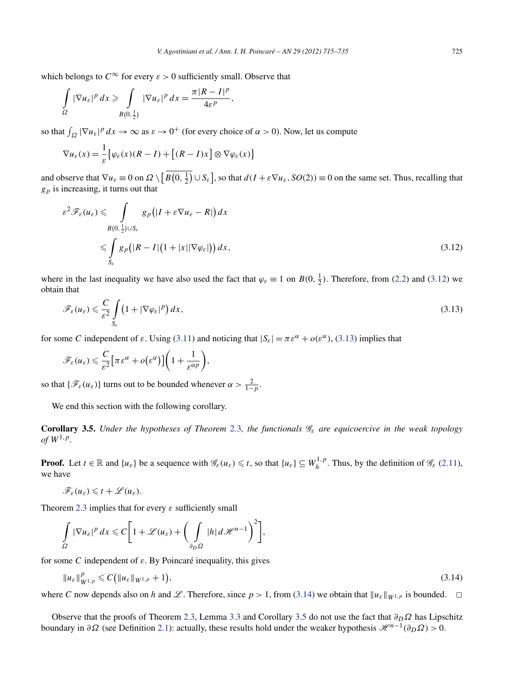<span id="page-10-0"></span>which belongs to  $C^{\infty}$  for every  $\varepsilon > 0$  sufficiently small. Observe that

$$
\int_{\Omega} |\nabla u_{\varepsilon}|^p dx \geq \int_{B(0,\frac{1}{2})} |\nabla u_{\varepsilon}|^p dx = \frac{\pi |R - I|^p}{4\varepsilon^p},
$$

so that  $\int_{\Omega} |\nabla u_{\varepsilon}|^p dx \to \infty$  as  $\varepsilon \to 0^+$  (for every choice of  $\alpha > 0$ ). Now, let us compute

$$
\nabla u_{\varepsilon}(x) = \frac{1}{\varepsilon} \big\{ \varphi_{\varepsilon}(x) (R - I) + \big[ (R - I)x \big] \otimes \nabla \varphi_{\varepsilon}(x) \big\}
$$

and observe that  $\nabla u_{\varepsilon} \equiv 0$  on  $\Omega \setminus [B(0, \frac{1}{2}) \cup S_{\varepsilon}]$ , so that  $d(I + \varepsilon \nabla u_{\varepsilon}, SO(2)) \equiv 0$  on the same set. Thus, recalling that *gp* is increasing, it turns out that

$$
\varepsilon^2 \mathscr{F}_{\varepsilon}(u_{\varepsilon}) \leqslant \int_{B(0, \frac{1}{2}) \cup S_{\varepsilon}} g_p(|I + \varepsilon \nabla u_{\varepsilon} - R|) dx
$$
  
 
$$
\leqslant \int_{S_{\varepsilon}} g_p(|R - I|(1 + |x||\nabla \varphi_{\varepsilon}|)) dx,
$$
 (3.12)

where in the last inequality we have also used the fact that  $\varphi_{\varepsilon} \equiv 1$  on  $B(0, \frac{1}{2})$ . Therefore, from [\(2.2\)](#page-2-0) and (3.12) we obtain that

$$
\mathscr{F}_{\varepsilon}(u_{\varepsilon}) \leqslant \frac{C}{\varepsilon^2} \int\limits_{S_{\varepsilon}} \left(1 + |\nabla \varphi_{\varepsilon}|^p\right) dx,\tag{3.13}
$$

for some *C* independent of  $\varepsilon$ . Using [\(3.11\)](#page-9-0) and noticing that  $|S_{\varepsilon}| = \pi \varepsilon^{\alpha} + o(\varepsilon^{\alpha})$ , (3.13) implies that

$$
\mathscr{F}_{\varepsilon}(u_{\varepsilon}) \leqslant \frac{C}{\varepsilon^2} \Big[ \pi \varepsilon^{\alpha} + o\big(\varepsilon^{\alpha}\big)\Big] \bigg(1 + \frac{1}{\varepsilon^{\alpha p}}\bigg),
$$

so that  $\{\mathscr{F}_{\varepsilon}(u_{\varepsilon})\}$  turns out to be bounded whenever  $\alpha > \frac{2}{1-p}$ .

We end this section with the following corollary.

**Corollary 3.5.** *Under the hypotheses of Theorem [2.3](#page-3-0), the functionals*  $\mathcal{G}_{\varepsilon}$  *are equicoercive in the weak topology of*  $W^{1,p}$ *.* 

**Proof.** Let  $t \in \mathbb{R}$  and  $\{u_{\varepsilon}\}\)$  be a sequence with  $\mathscr{G}_{\varepsilon}(u_{\varepsilon}) \leq t$ , so that  $\{u_{\varepsilon}\} \subseteq W_h^{1,p}$ . Thus, by the definition of  $\mathscr{G}_{\varepsilon}(2.11)$  $\mathscr{G}_{\varepsilon}(2.11)$ , we have

$$
\mathscr{F}_{\varepsilon}(u_{\varepsilon}) \leq t + \mathscr{L}(u_{\varepsilon}).
$$

Theorem [2.3](#page-3-0) implies that for every *ε* sufficiently small

$$
\int_{\Omega} |\nabla u_{\varepsilon}|^p dx \leqslant C \bigg[ 1 + \mathscr{L}(u_{\varepsilon}) + \bigg( \int_{\partial_D \Omega} |h| d\mathscr{H}^{n-1} \bigg)^2 \bigg],
$$

for some *C* independent of *ε*. By Poincaré inequality, this gives

$$
\|u_{\varepsilon}\|_{W^{1,p}}^p \leqslant C\big(\|u_{\varepsilon}\|_{W^{1,p}}+1\big),\tag{3.14}
$$

where *C* now depends also on *h* and *L*. Therefore, since  $p > 1$ , from (3.14) we obtain that  $||u_{\varepsilon}||_{W^{1,p}}$  is bounded.  $\Box$ 

Observe that the proofs of Theorem [2.3,](#page-3-0) Lemma [3.3](#page-7-0) and Corollary 3.5 do not use the fact that  $\partial_D \Omega$  has Lipschitz boundary in *∂Ω* (see Definition [2.1\)](#page-1-0): actually, these results hold under the weaker hypothesis  $\mathcal{H}^{n-1}(\partial_D \Omega) > 0$ .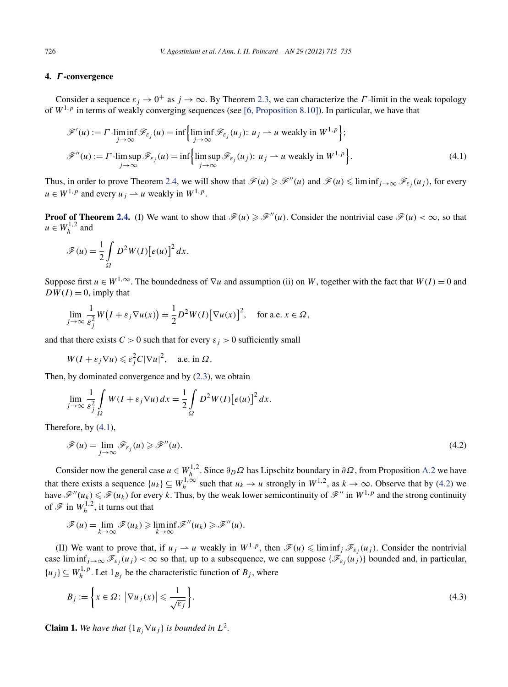# <span id="page-11-0"></span>**4.** *Γ* **-convergence**

Consider a sequence  $\varepsilon_j \to 0^+$  as  $j \to \infty$ . By Theorem [2.3,](#page-3-0) we can characterize the *Γ*-limit in the weak topology of  $W^{1,p}$  in terms of weakly converging sequences (see [\[6, Proposition 8.10\]\)](#page-20-0). In particular, we have that

$$
\mathscr{F}'(u) := \Gamma \cdot \liminf_{j \to \infty} \mathscr{F}_{\varepsilon_j}(u) = \inf \left\{ \liminf_{j \to \infty} \mathscr{F}_{\varepsilon_j}(u_j) : u_j \to u \text{ weakly in } W^{1,p} \right\};
$$
  

$$
\mathscr{F}''(u) := \Gamma \cdot \limsup_{j \to \infty} \mathscr{F}_{\varepsilon_j}(u) = \inf \left\{ \limsup_{j \to \infty} \mathscr{F}_{\varepsilon_j}(u_j) : u_j \to u \text{ weakly in } W^{1,p} \right\}.
$$
 (4.1)

Thus, in order to prove Theorem [2.4,](#page-3-0) we will show that  $\mathscr{F}(u) \geq \mathscr{F}''(u)$  and  $\mathscr{F}(u) \leq \liminf_{j \to \infty} \mathscr{F}_{\varepsilon_j}(u_j)$ , for every  $u \in W^{1,p}$  and every  $u_i \rightarrow u$  weakly in  $W^{1,p}$ .

**Proof of Theorem [2.4.](#page-3-0)** (I) We want to show that  $\mathcal{F}(u) \geq \mathcal{F}''(u)$ . Consider the nontrivial case  $\mathcal{F}(u) < \infty$ , so that  $u \in W_h^{1,2}$  and

$$
\mathscr{F}(u) = \frac{1}{2} \int_{\Omega} D^2 W(I) [e(u)]^2 dx.
$$

Suppose first  $u \in W^{1,\infty}$ . The boundedness of  $\nabla u$  and assumption (ii) on *W*, together with the fact that  $W(I) = 0$  and  $DW(I) = 0$ , imply that

$$
\lim_{j \to \infty} \frac{1}{\varepsilon_j^2} W\big(I + \varepsilon_j \nabla u(x)\big) = \frac{1}{2} D^2 W(I) \big[\nabla u(x)\big]^2, \quad \text{for a.e. } x \in \Omega,
$$

and that there exists  $C > 0$  such that for every  $\varepsilon_j > 0$  sufficiently small

$$
W(I + \varepsilon_j \nabla u) \leqslant \varepsilon_j^2 C |\nabla u|^2, \quad \text{a.e. in } \Omega.
$$

Then, by dominated convergence and by [\(2.3\)](#page-2-0), we obtain

$$
\lim_{j \to \infty} \frac{1}{\varepsilon_j^2} \int\limits_{\Omega} W(I + \varepsilon_j \nabla u) \, dx = \frac{1}{2} \int\limits_{\Omega} D^2 W(I) \big[ e(u) \big]^2 \, dx.
$$

Therefore, by (4.1),

$$
\mathscr{F}(u) = \lim_{j \to \infty} \mathscr{F}_{\varepsilon_j}(u) \geq \mathscr{F}''(u). \tag{4.2}
$$

Consider now the general case  $u \in W_h^{1,2}$ . Since  $\partial_D \Omega$  has Lipschitz boundary in  $\partial \Omega$ , from Proposition [A.2](#page-19-0) we have that there exists a sequence  $\{u_k\} \subseteq W_h^{1,\infty}$  such that  $u_k \to u$  strongly in  $W^{1,2}$ , as  $k \to \infty$ . Observe that by (4.2) we have  $\mathcal{F}''(u_k) \leq \mathcal{F}(u_k)$  for every *k*. Thus, by the weak lower semicontinuity of  $\mathcal{F}''$  in  $W^{1,p}$  and the strong continuity of  $\mathscr{F}$  in  $W_h^{1,2}$ , it turns out that

$$
\mathscr{F}(u) = \lim_{k \to \infty} \mathscr{F}(u_k) \geq \liminf_{k \to \infty} \mathscr{F}''(u_k) \geq \mathscr{F}''(u).
$$

(II) We want to prove that, if  $u_j \rightharpoonup u$  weakly in  $W^{1,p}$ , then  $\mathscr{F}(u) \leq \liminf_j \mathscr{F}_{\varepsilon_j}(u_j)$ . Consider the nontrivial case  $\liminf_{j\to\infty} \mathscr{F}_{\varepsilon_j}(u_j) < \infty$  so that, up to a subsequence, we can suppose  $\{\mathscr{F}_{\varepsilon_j}(u_j)\}$  bounded and, in particular,  $\{u_j\} \subseteq W_h^{1,p}$ . Let  $1_{B_j}$  be the characteristic function of  $B_j$ , where

$$
B_j := \left\{ x \in \Omega : \left| \nabla u_j(x) \right| \leqslant \frac{1}{\sqrt{\varepsilon_j}} \right\}.
$$
\n
$$
(4.3)
$$

**Claim 1.** We have that  $\{1_B, \nabla u_j\}$  is bounded in  $L^2$ .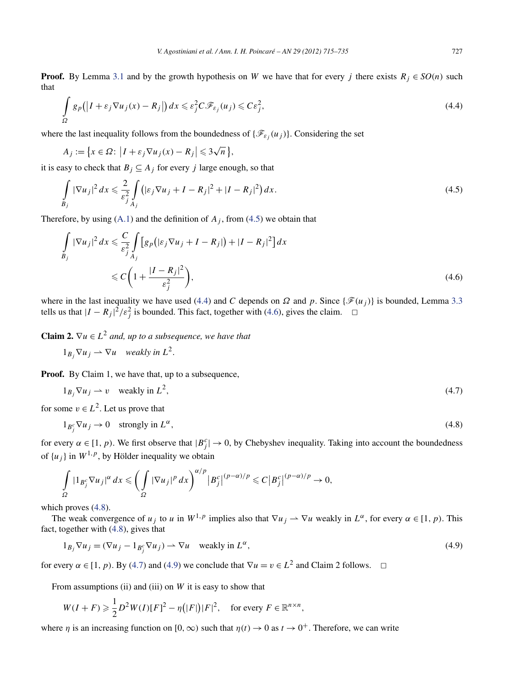**Proof.** By Lemma [3.1](#page-6-0) and by the growth hypothesis on *W* we have that for every *j* there exists  $R_j \in SO(n)$  such that

$$
\int_{\Omega} g_p(|I + \varepsilon_j \nabla u_j(x) - R_j|) dx \leq \varepsilon_j^2 C \mathcal{F}_{\varepsilon_j}(u_j) \leqslant C \varepsilon_j^2,
$$
\n(4.4)

where the last inequality follows from the boundedness of  $\{\mathscr{F}_{\varepsilon_i}(u_j)\}$ . Considering the set

$$
A_j := \{ x \in \Omega : \left| I + \varepsilon_j \nabla u_j(x) - R_j \right| \leq 3\sqrt{n} \},
$$

it is easy to check that  $B_j \subseteq A_j$  for every *j* large enough, so that

$$
\int_{B_j} |\nabla u_j|^2 dx \leqslant \frac{2}{\varepsilon_j^2} \int_{A_j} \left( |\varepsilon_j \nabla u_j + I - R_j|^2 + |I - R_j|^2 \right) dx. \tag{4.5}
$$

Therefore, by using  $(A.1)$  and the definition of  $A_i$ , from  $(4.5)$  we obtain that

$$
\int_{B_j} |\nabla u_j|^2 dx \leqslant \frac{C}{\varepsilon_j^2} \int_{A_j} \left[ g_p \left( |\varepsilon_j \nabla u_j + I - R_j| \right) + |I - R_j|^2 \right] dx
$$
\n
$$
\leqslant C \left( 1 + \frac{|I - R_j|^2}{\varepsilon_j^2} \right),\tag{4.6}
$$

where in the last inequality we have used (4.4) and *C* depends on  $\Omega$  and  $p$ . Since { $\mathcal{F}(u_i)$ } is bounded, Lemma [3.3](#page-7-0) tells us that  $|I - R_j|^2 / \varepsilon_j^2$  is bounded. This fact, together with (4.6), gives the claim.  $\Box$ 

**Claim 2.**  $\nabla u \in L^2$  *and, up to a subsequence, we have that* 

$$
1_{B_j} \nabla u_j \rightharpoonup \nabla u
$$
 weakly in  $L^2$ .

**Proof.** By Claim 1, we have that, up to a subsequence,

$$
1_{B_j} \nabla u_j \rightharpoonup v \quad \text{weakly in } L^2,\tag{4.7}
$$

for some  $v \in L^2$ . Let us prove that

$$
1_{B_j^c} \nabla u_j \to 0 \quad \text{strongly in } L^{\alpha}, \tag{4.8}
$$

for every  $\alpha \in [1, p)$ . We first observe that  $|B_j^c| \to 0$ , by Chebyshev inequality. Taking into account the boundedness of  $\{u_i\}$  in  $W^{1,p}$ , by Hölder inequality we obtain

$$
\int_{\Omega} |1_{B_j^c} \nabla u_j|^{\alpha} dx \leqslant \left( \int_{\Omega} |\nabla u_j|^p dx \right)^{\alpha/p} \left|B_j^c\right|^{(p-\alpha)/p} \leqslant C \left|B_j^c\right|^{(p-\alpha)/p} \to 0,
$$

which proves  $(4.8)$ .

The weak convergence of *u<sub>j</sub>* to *u* in  $W^{1,p}$  implies also that  $\nabla u_j \to \nabla u$  weakly in  $L^\alpha$ , for every  $\alpha \in [1, p)$ . This fact, together with (4.8), gives that

$$
1_{B_j} \nabla u_j = (\nabla u_j - 1_{B_j^c} \nabla u_j) \to \nabla u \quad \text{weakly in } L^{\alpha},\tag{4.9}
$$

for every  $\alpha \in [1, p)$ . By (4.7) and (4.9) we conclude that  $\nabla u = v \in L^2$  and Claim 2 follows.  $\Box$ 

From assumptions (ii) and (iii) on *W* it is easy to show that

$$
W(I + F) \geq \frac{1}{2}D^2W(I)[F]^2 - \eta(|F|)|F|^2, \quad \text{for every } F \in \mathbb{R}^{n \times n},
$$

where *η* is an increasing function on  $[0, \infty)$  such that  $\eta(t) \to 0$  as  $t \to 0^+$ . Therefore, we can write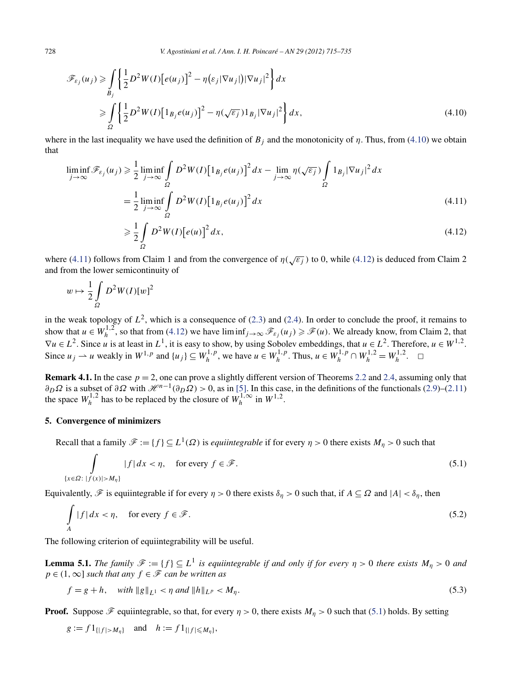<span id="page-13-0"></span>
$$
\mathscr{F}_{\varepsilon_j}(u_j) \ge \int\limits_{B_j} \left\{ \frac{1}{2} D^2 W(I) \left[ e(u_j) \right]^2 - \eta \left( \varepsilon_j |\nabla u_j| \right) |\nabla u_j|^2 \right\} dx
$$
\n
$$
\ge \int\limits_{\Omega} \left\{ \frac{1}{2} D^2 W(I) \left[ 1_{B_j} e(u_j) \right]^2 - \eta \left( \sqrt{\varepsilon_j} \right) 1_{B_j} |\nabla u_j|^2 \right\} dx,
$$
\n(4.10)

where in the last inequality we have used the definition of  $B_j$  and the monotonicity of  $\eta$ . Thus, from (4.10) we obtain that

$$
\liminf_{j \to \infty} \mathcal{F}_{\varepsilon_j}(u_j) \geq \frac{1}{2} \liminf_{j \to \infty} \int_{\Omega} D^2 W(I) \left[ 1_{B_j} e(u_j) \right]^2 dx - \lim_{j \to \infty} \eta(\sqrt{\varepsilon_j}) \int_{\Omega} 1_{B_j} |\nabla u_j|^2 dx
$$
\n
$$
= \frac{1}{2} \liminf_{j \to \infty} \int_{\Omega} D^2 W(I) \left[ 1_{B_j} e(u_j) \right]^2 dx \tag{4.11}
$$

$$
\geqslant \frac{1}{2} \int_{\Omega} D^2 W(I) \big[ e(u) \big]^2 dx,
$$
\n(4.12)

where (4.11) follows from Claim 1 and from the convergence of  $\eta(\sqrt{\varepsilon_i})$  to 0, while (4.12) is deduced from Claim 2 and from the lower semicontinuity of

$$
w \mapsto \frac{1}{2} \int_{\Omega} D^2 W(I) [w]^2
$$

in the weak topology of  $L^2$ , which is a consequence of [\(2.3\)](#page-2-0) and [\(2.4\)](#page-2-0). In order to conclude the proof, it remains to show that  $u \in W_h^{1,2}$ , so that from (4.12) we have  $\liminf_{j \to \infty} \mathscr{F}_{\varepsilon_j}(u_j) \geq \mathscr{F}(u)$ . We already know, from Claim 2, that  $\nabla u \in L^2$ . Since *u* is at least in  $L^1$ , it is easy to show, by using Sobolev embeddings, that  $u \in L^2$ . Therefore,  $u \in W^{1,2}$ . Since  $u_j \rightharpoonup u$  weakly in  $W^{1,p}$  and  $\{u_j\} \subseteq W_h^{1,p}$ , we have  $u \in W_h^{1,p}$ . Thus,  $u \in W_h^{1,p} \cap W_h^{1,2} = W_h^{1,2}$ .  $\Box$ 

**Remark 4.1.** In the case  $p = 2$ , one can prove a slightly different version of Theorems [2.2](#page-3-0) and [2.4,](#page-3-0) assuming only that  $\partial_D \Omega$  is a subset of  $\partial \Omega$  with  $\mathcal{H}^{n-1}(\partial_D \Omega) > 0$ , as in [\[5\].](#page-20-0) In this case, in the definitions of the functionals [\(2.9\)](#page-3-0)–[\(2.11\)](#page-3-0) the space  $W_h^{1,2}$  has to be replaced by the closure of  $W_h^{1,\infty}$  in  $W_1^{1,2}$ .

## **5. Convergence of minimizers**

Recall that a family  $\mathscr{F} := \{f\} \subseteq L^1(\Omega)$  is *equiintegrable* if for every  $\eta > 0$  there exists  $M_\eta > 0$  such that

$$
\int_{\{x \in \Omega : |f(x)| > M_{\eta}\}} |f| dx < \eta, \quad \text{for every } f \in \mathcal{F}.\tag{5.1}
$$

Equivalently,  $\mathscr F$  is equiintegrable if for every  $\eta > 0$  there exists  $\delta_\eta > 0$  such that, if  $A \subseteq \Omega$  and  $|A| < \delta_\eta$ , then

$$
\int_{A} |f| dx < \eta, \quad \text{for every } f \in \mathcal{F}.
$$
\n(5.2)

The following criterion of equiintegrability will be useful.

**Lemma 5.1.** *The family*  $\mathcal{F} := \{f\} \subseteq L^1$  *is equiintegrable if and only if for every*  $\eta > 0$  *there exists*  $M_\eta > 0$  *and*  $p \in (1, \infty]$  *such that any*  $f \in \mathcal{F}$  *can be written as* 

$$
f = g + h, \quad \text{with } \|g\|_{L^1} < \eta \text{ and } \|h\|_{L^p} < M_\eta. \tag{5.3}
$$

**Proof.** Suppose  $\mathcal F$  equiintegrable, so that, for every  $\eta > 0$ , there exists  $M_\eta > 0$  such that (5.1) holds. By setting

$$
g := f 1_{\{|f| > M_{\eta}\}}
$$
 and  $h := f 1_{\{|f| \le M_{\eta}\}}$ ,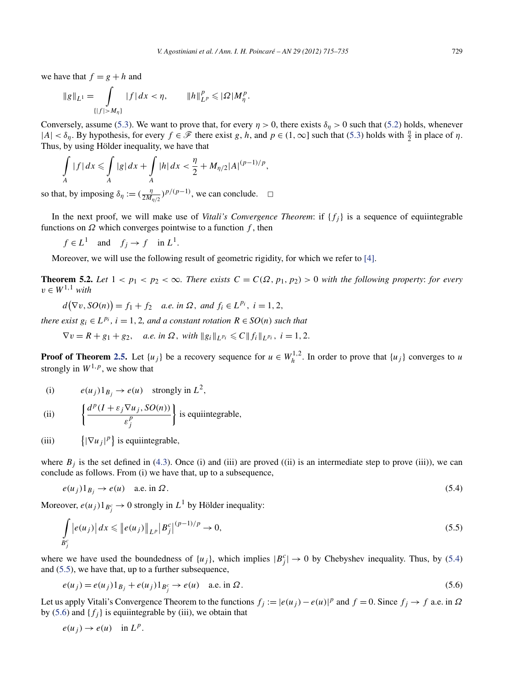<span id="page-14-0"></span>we have that  $f = g + h$  and

$$
\|g\|_{L^1} = \int_{\{|f| > M_\eta\}} |f| \, dx < \eta, \qquad \|h\|_{L^p}^p \leqslant |\Omega| M_\eta^p.
$$

Conversely, assume [\(5.3\)](#page-13-0). We want to prove that, for every  $\eta > 0$ , there exists  $\delta_{\eta} > 0$  such that [\(5.2\)](#page-13-0) holds, whenever  $|A| < \delta_{\eta}$ . By hypothesis, for every  $f \in \mathcal{F}$  there exist *g*, *h*, and  $p \in (1, \infty]$  such that [\(5.3\)](#page-13-0) holds with  $\frac{\eta}{2}$  in place of  $\eta$ . Thus, by using Hölder inequality, we have that

$$
\int_{A} |f| dx \leq \int_{A} |g| dx + \int_{A} |h| dx < \frac{\eta}{2} + M_{\eta/2} |A|^{(p-1)/p},
$$

so that, by imposing  $\delta_{\eta} := (\frac{\eta}{2M_{\eta/2}})^{p/(p-1)}$ , we can conclude.  $\Box$ 

In the next proof, we will make use of *Vitali's Convergence Theorem*: if  $\{f_i\}$  is a sequence of equiintegrable functions on  $\Omega$  which converges pointwise to a function  $f$ , then

$$
f \in L^1
$$
 and  $f_j \to f$  in  $L^1$ .

Moreover, we will use the following result of geometric rigidity, for which we refer to [\[4\].](#page-20-0)

**Theorem 5.2.** Let  $1 < p_1 < p_2 < \infty$ . There exists  $C = C(\Omega, p_1, p_2) > 0$  with the following property: for every  $v \in W^{1,1}$  *with* 

 $d(\nabla v, SO(n)) = f_1 + f_2$  *a.e. in*  $\Omega$ *, and*  $f_i \in L^{p_i}$ *, i* = 1*,* 2*,* 

*there exist*  $g_i \in L^{p_i}$ ,  $i = 1, 2$ , and a constant rotation  $R \in SO(n)$  such that

 $\nabla v = R + g_1 + g_2$ , *a.e.* in  $\Omega$ , with  $||g_i||_{L^{p_i}} \leq C ||f_i||_{L^{p_i}}$ ,  $i = 1, 2$ .

**Proof of Theorem [2.5.](#page-4-0)** Let  $\{u_j\}$  be a recovery sequence for  $u \in W_h^{1,2}$ . In order to prove that  $\{u_j\}$  converges to *u* strongly in  $W^{1,p}$ , we show that

(i) 
$$
e(u_j)1_{B_j} \to e(u)
$$
 strongly in  $L^2$ ,

(ii) 
$$
\left\{ \frac{d^p(I + \varepsilon_j \nabla u_j, SO(n))}{\varepsilon_j^p} \right\}
$$
 is equi integrable,

(iii)  $|\nabla u_j|^p$  is equiintegrable,

where  $B_j$  is the set defined in [\(4.3\)](#page-11-0). Once (i) and (iii) are proved ((ii) is an intermediate step to prove (iii)), we can conclude as follows. From (i) we have that, up to a subsequence,

$$
e(u_j)1_{B_j} \to e(u) \quad \text{a.e. in } \Omega. \tag{5.4}
$$

Moreover,  $e(u_j)1_{B_j^c} \to 0$  strongly in  $L^1$  by Hölder inequality:

$$
\int_{B_j^c} |e(u_j)| dx \leqslant ||e(u_j)||_{L^p} |B_j^c|^{(p-1)/p} \to 0,
$$
\n(5.5)

where we have used the boundedness of  $\{u_j\}$ , which implies  $|B_j^c| \to 0$  by Chebyshev inequality. Thus, by (5.4) and (5.5), we have that, up to a further subsequence,

$$
e(u_j) = e(u_j)1_{B_j} + e(u_j)1_{B_j^c} \to e(u) \quad \text{a.e. in } \Omega.
$$
 (5.6)

Let us apply Vitali's Convergence Theorem to the functions  $f_j := |e(u_j) - e(u)|^p$  and  $f = 0$ . Since  $f_j \to f$  a.e. in  $\Omega$ by (5.6) and  $\{f_i\}$  is equiintegrable by (iii), we obtain that

$$
e(u_j) \to e(u) \quad \text{in } L^p.
$$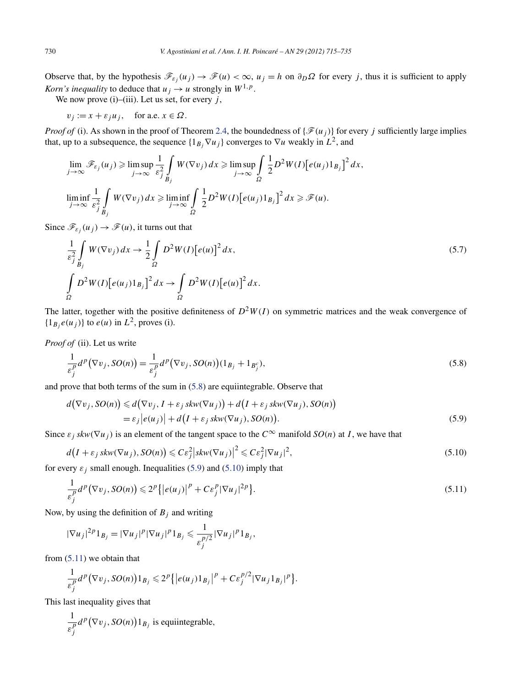<span id="page-15-0"></span>Observe that, by the hypothesis  $\mathcal{F}_{\varepsilon_i}(u_j) \to \mathcal{F}(u) < \infty$ ,  $u_j = h$  on  $\partial_D \Omega$  for every *j*, thus it is sufficient to apply *Korn's inequality* to deduce that  $u_j \rightarrow u$  strongly in  $W^{1,p}$ .

We now prove (i)–(iii). Let us set, for every  $j$ ,

 $v_j := x + \varepsilon_j u_j$ , for a.e.  $x \in \Omega$ .

*Proof of* (i). As shown in the proof of Theorem [2.4,](#page-3-0) the boundedness of  $\{\mathcal{F}(u_i)\}$  for every *j* sufficiently large implies that, up to a subsequence, the sequence  $\{1_{B_i} \nabla u_j\}$  converges to  $\nabla u$  weakly in  $L^2$ , and

$$
\lim_{j \to \infty} \mathscr{F}_{\varepsilon_j}(u_j) \ge \limsup_{j \to \infty} \frac{1}{\varepsilon_j^2} \int_{B_j} W(\nabla v_j) dx \ge \limsup_{j \to \infty} \int_{\Omega} \frac{1}{2} D^2 W(I) \big[ e(u_j) 1_{B_j} \big]^2 dx,
$$
  

$$
\liminf_{j \to \infty} \frac{1}{\varepsilon_j^2} \int_{B_j} W(\nabla v_j) dx \ge \liminf_{j \to \infty} \int_{\Omega} \frac{1}{2} D^2 W(I) \big[ e(u_j) 1_{B_j} \big]^2 dx \ge \mathscr{F}(u).
$$

Since  $\mathcal{F}_{\varepsilon_i}(u_i) \to \mathcal{F}(u)$ , it turns out that

$$
\frac{1}{\varepsilon_j^2} \int\limits_{B_j} W(\nabla v_j) \, dx \to \frac{1}{2} \int\limits_{\Omega} D^2 W(I) \big[ e(u) \big]^2 \, dx,\tag{5.7}
$$
\n
$$
\int\limits_{\Omega} D^2 W(I) \big[ e(u_j) 1_{B_j} \big]^2 \, dx \to \int\limits_{\Omega} D^2 W(I) \big[ e(u) \big]^2 \, dx.
$$

The latter, together with the positive definiteness of  $D^2W(I)$  on symmetric matrices and the weak convergence of  ${1_B}_i e(u_j)$ } to  $e(u)$  in  $L^2$ , proves (i).

*Proof of* (ii). Let us write

$$
\frac{1}{\varepsilon_j^p}d^p(\nabla v_j, SO(n)) = \frac{1}{\varepsilon_j^p}d^p(\nabla v_j, SO(n))(1_{B_j} + 1_{B_j^c}),\tag{5.8}
$$

and prove that both terms of the sum in (5.8) are equiintegrable. Observe that

$$
d(\nabla v_j, SO(n)) \le d(\nabla v_j, I + \varepsilon_j skw(\nabla u_j)) + d(I + \varepsilon_j skw(\nabla u_j), SO(n))
$$
  
=  $\varepsilon_j |e(u_j)| + d(I + \varepsilon_j skw(\nabla u_j), SO(n)).$  (5.9)

Since  $\varepsilon_j$  *skw*( $\nabla u_j$ ) is an element of the tangent space to the  $C^\infty$  manifold  $SO(n)$  at *I*, we have that

$$
d(I + \varepsilon_j skw(\nabla u_j), SO(n)) \leqslant C\varepsilon_j^2 |skw(\nabla u_j)|^2 \leqslant C\varepsilon_j^2 |\nabla u_j|^2,
$$
\n(5.10)

for every  $\varepsilon_j$  small enough. Inequalities (5.9) and (5.10) imply that

$$
\frac{1}{\varepsilon_j^p}d^p(\nabla v_j, SO(n)) \leq 2^p\{|e(u_j)|^p + C\varepsilon_j^p|\nabla u_j|^{2p}\}.
$$
\n(5.11)

Now, by using the definition of  $B_j$  and writing

$$
|\nabla u_j|^{2p} 1_{B_j} = |\nabla u_j|^p |\nabla u_j|^p 1_{B_j} \leq \frac{1}{\varepsilon_j^{p/2}} |\nabla u_j|^p 1_{B_j},
$$

from  $(5.11)$  we obtain that

$$
\frac{1}{\varepsilon_j^p}d^p(\nabla v_j, SO(n))1_{B_j}\leq 2^p\big\{\big|e(u_j)1_{B_j}\big|^p+C\varepsilon_j^{p/2}|\nabla u_j1_{B_j}|^p\big\}.
$$

This last inequality gives that

$$
\frac{1}{\varepsilon_j^p}d^p(\nabla v_j, SO(n))1_{B_j}
$$
 is equi integrable,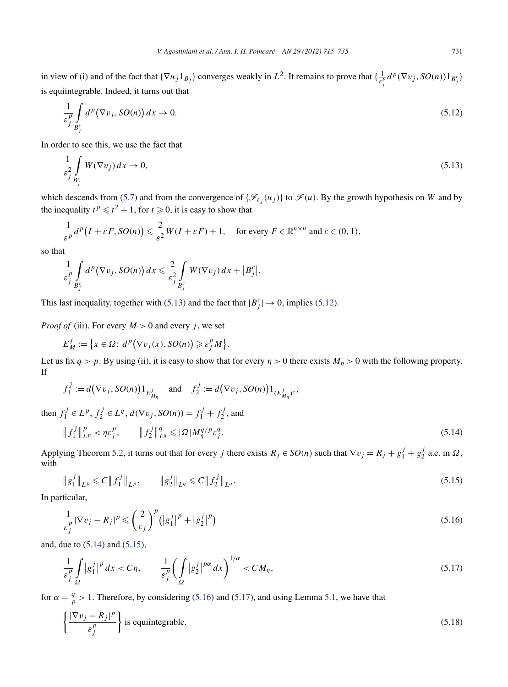<span id="page-16-0"></span>in view of (i) and of the fact that  $\{\nabla u_j 1_{B_j}\}$  converges weakly in  $L^2$ . It remains to prove that  $\{\frac{1}{\varepsilon_j^p}d^p(\nabla v_j, SO(n))1_{B_j^c}\}$ is equiintegrable. Indeed, it turns out that

$$
\frac{1}{\varepsilon_j^p} \int\limits_{B_j^c} d^p (\nabla v_j, SO(n)) dx \to 0. \tag{5.12}
$$

In order to see this, we use the fact that

$$
\frac{1}{\varepsilon_j^2} \int\limits_{B_j^c} W(\nabla v_j) \, dx \to 0,\tag{5.13}
$$

which descends from [\(5.7\)](#page-15-0) and from the convergence of  $\{\mathscr{F}_{\varepsilon_i}(u_j)\}\$  to  $\mathscr{F}(u)$ . By the growth hypothesis on *W* and by the inequality  $t^p \le t^2 + 1$ , for  $t \ge 0$ , it is easy to show that

$$
\frac{1}{\varepsilon^p}d^p\big(I+\varepsilon F, SO(n)\big) \leqslant \frac{2}{\varepsilon^2}W(I+\varepsilon F) + 1, \quad \text{for every } F \in \mathbb{R}^{n \times n} \text{ and } \varepsilon \in (0,1),
$$

so that

$$
\frac{1}{\varepsilon_j^p}\int\limits_{B_j^c}d^p(\nabla v_j,SO(n))\,dx\leqslant \frac{2}{\varepsilon_j^2}\int\limits_{B_j^c}W(\nabla v_j)\,dx+\big|B_j^c\big|.
$$

This last inequality, together with (5.13) and the fact that  $|B_j^c| \to 0$ , implies (5.12).

*Proof of* (iii). For every  $M > 0$  and every *j*, we set

$$
E_M^j := \left\{ x \in \Omega : d^p(\nabla v_j(x), SO(n)) \geqslant \varepsilon_j^p M \right\}.
$$

Let us fix  $q > p$ . By using (ii), it is easy to show that for every  $\eta > 0$  there exists  $M_\eta > 0$  with the following property. If

$$
f_1^j := d(\nabla v_j, SO(n))1_{E^j_{M_\eta}}
$$
 and  $f_2^j := d(\nabla v_j, SO(n))1_{(E^j_{M_\eta})^c}$ ,

then  $f_1^j \in L^p$ ,  $f_2^j \in L^q$ ,  $d(\nabla v_j, SO(n)) = f_1^j + f_2^j$ , and

$$
\|f_1^j\|_{L^p}^p < \eta \varepsilon_j^p, \qquad \|f_2^j\|_{L^q}^q \leqslant |\Omega| M_\eta^{q/p} \varepsilon_j^q. \tag{5.14}
$$

Applying Theorem [5.2,](#page-14-0) it turns out that for every *j* there exists  $R_j \in SO(n)$  such that  $\nabla v_j = R_j + g_1^j + g_2^j$  a.e. in  $\Omega$ , with

$$
\|g_1^j\|_{L^p} \leqslant C \|f_1^j\|_{L^p}, \qquad \|g_2^j\|_{L^q} \leqslant C \|f_2^j\|_{L^q}.
$$
\n(5.15)

In particular,

$$
\frac{1}{\varepsilon_j^p} |\nabla v_j - R_j|^p \leqslant \left(\frac{2}{\varepsilon_j}\right)^p \left(|g_1^j|^p + |g_2^j|^p\right) \tag{5.16}
$$

and, due to (5.14) and (5.15),

$$
\frac{1}{\varepsilon_j^p} \int\limits_{\Omega} |g_1^j|^p \, dx < C\eta, \qquad \frac{1}{\varepsilon_j^p} \bigg( \int\limits_{\Omega} |g_2^j|^{p\alpha} \, dx \bigg)^{1/\alpha} < C M_\eta, \tag{5.17}
$$

for  $\alpha = \frac{q}{p} > 1$ . Therefore, by considering (5.16) and (5.17), and using Lemma [5.1,](#page-13-0) we have that

$$
\left\{ \frac{|\nabla v_j - R_j|^p}{\varepsilon_j^p} \right\} \text{ is equi integrable.}
$$
\n(5.18)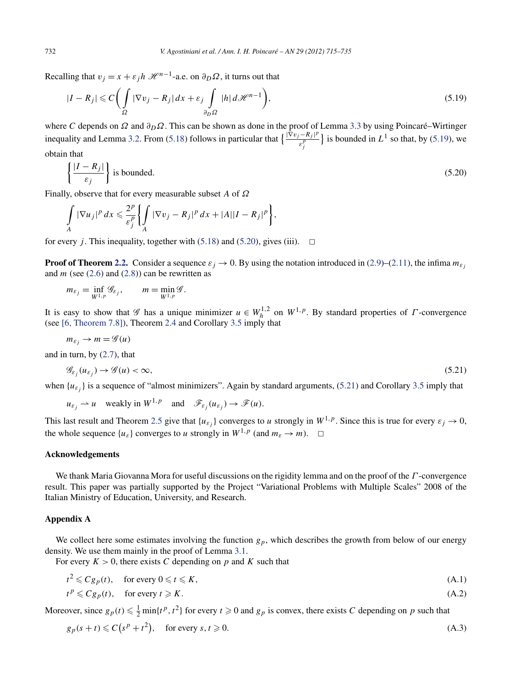<span id="page-17-0"></span>Recalling that  $v_j = x + \varepsilon_j h \mathcal{H}^{n-1}$ -a.e. on  $\partial_D \Omega$ , it turns out that

$$
|I - R_j| \leqslant C \bigg( \int_{\Omega} |\nabla v_j - R_j| \, dx + \varepsilon_j \int_{\partial_D \Omega} |h| \, d\mathcal{H}^{n-1} \bigg),\tag{5.19}
$$

where *C* depends on *Ω* and *∂DΩ*. This can be shown as done in the proof of Lemma [3.3](#page-7-0) by using Poincaré–Wirtinger inequality and Lemma [3.2.](#page-7-0) From [\(5.18\)](#page-16-0) follows in particular that  $\frac{|\hat{\nabla}v_j - R_j|^p}{\sigma^p}$  $\left\{\frac{\partial^2 E}{\partial t^p} \right\}$  is bounded in  $L^1$  so that, by (5.19), we obtain that

$$
\left\{ \frac{|I - R_j|}{\varepsilon_j} \right\} \text{ is bounded.}
$$
\n
$$
(5.20)
$$

Finally, observe that for every measurable subset *A* of *Ω*

$$
\int\limits_A |\nabla u_j|^p\,dx\leqslant \frac{2^p}{\varepsilon_j^p}\bigg\{\int\limits_A |\nabla v_j-R_j|^p\,dx+|A||I-R_j|^p\bigg\},\,
$$

for every *j*. This inequality, together with  $(5.18)$  and  $(5.20)$ , gives (iii).  $\Box$ 

**Proof of Theorem [2.2.](#page-3-0)** Consider a sequence  $\varepsilon_j \to 0$ . By using the notation introduced in [\(2.9\)](#page-3-0)–[\(2.11\)](#page-3-0), the infima  $m_{\varepsilon_j}$ and  $m$  (see  $(2.6)$  and  $(2.8)$ ) can be rewritten as

$$
m_{\varepsilon_j} = \inf_{W^{1,p}} \mathscr{G}_{\varepsilon_j}, \qquad m = \min_{W^{1,p}} \mathscr{G}.
$$

It is easy to show that  $\mathscr G$  has a unique minimizer  $u \in W_h^{1,2}$  on  $W^{1,p}$ . By standard properties of *Γ*-convergence (see [\[6, Theorem 7.8\]\)](#page-20-0), Theorem [2.4](#page-3-0) and Corollary [3.5](#page-10-0) imply that

$$
m_{\varepsilon_j} \to m = \mathscr{G}(u)
$$

and in turn, by [\(2.7\)](#page-3-0), that

$$
\mathcal{G}_{\varepsilon_j}(u_{\varepsilon_j}) \to \mathcal{G}(u) < \infty,\tag{5.21}
$$

when  $\{u_{\varepsilon}\}\$  is a sequence of "almost minimizers". Again by standard arguments, (5.21) and Corollary [3.5](#page-10-0) imply that

 $u_{\varepsilon_i} \rightharpoonup u$  weakly in  $W^{1,p}$  and  $\mathscr{F}_{\varepsilon_i}(u_{\varepsilon_i}) \to \mathscr{F}(u)$ .

This last result and Theorem [2.5](#page-4-0) give that  $\{u_{\varepsilon_j}\}$  converges to *u* strongly in  $W^{1,p}$ . Since this is true for every  $\varepsilon_j \to 0$ , the whole sequence  $\{u_{\varepsilon}\}\)$  converges to *u* strongly in  $W^{1,p}$  (and  $m_{\varepsilon} \to m$ ).  $\Box$ 

## **Acknowledgements**

We thank Maria Giovanna Mora for useful discussions on the rigidity lemma and on the proof of the *Γ* -convergence result. This paper was partially supported by the Project "Variational Problems with Multiple Scales" 2008 of the Italian Ministry of Education, University, and Research.

# **Appendix A**

We collect here some estimates involving the function  $g_p$ , which describes the growth from below of our energy density. We use them mainly in the proof of Lemma [3.1.](#page-6-0)

For every  $K > 0$ , there exists C depending on p and K such that

$$
t^2 \leqslant C g_p(t), \quad \text{for every } 0 \leqslant t \leqslant K,
$$
\n(A.1)

$$
t^p \leqslant C g_p(t), \quad \text{for every } t \geqslant K. \tag{A.2}
$$

Moreover, since  $g_p(t) \leq \frac{1}{2} \min\{t^p, t^2\}$  for every  $t \geq 0$  and  $g_p$  is convex, there exists *C* depending on *p* such that

$$
g_p(s+t) \leq C(s^p + t^2), \quad \text{for every } s, t \geq 0. \tag{A.3}
$$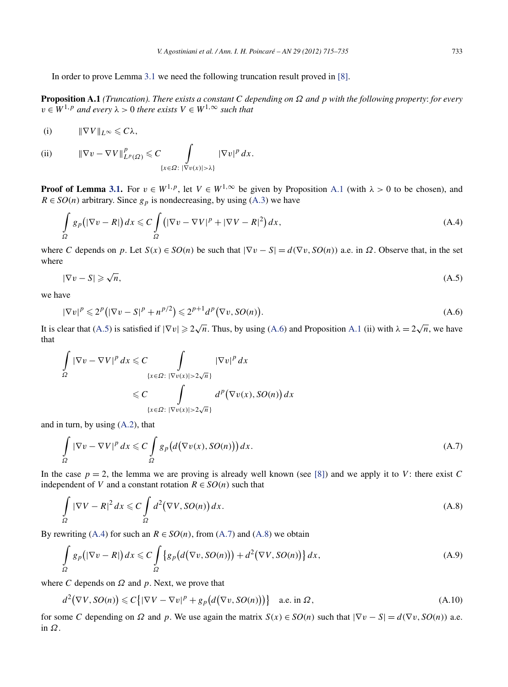<span id="page-18-0"></span>In order to prove Lemma [3.1](#page-6-0) we need the following truncation result proved in [\[8\].](#page-20-0)

**Proposition A.1** *(Truncation). There exists a constant C depending on Ω and p with the following property*: *for every*  $v \in W^{1,p}$  *and every*  $\lambda > 0$  *there exists*  $V \in W^{1,\infty}$  *such that* 

(i) 
$$
\|\nabla V\|_{L^{\infty}} \leq C\lambda,
$$

(ii) 
$$
\|\nabla v - \nabla V\|_{L^p(\Omega)}^p \leq C \int_{\{x \in \Omega : |\nabla v(x)| > \lambda\}} |\nabla v|^p dx.
$$

**Proof of Lemma [3.1.](#page-6-0)** For  $v \in W^{1,p}$ , let  $V \in W^{1,\infty}$  be given by Proposition A.1 (with  $\lambda > 0$  to be chosen), and  $R \in SO(n)$  arbitrary. Since  $g_p$  is nondecreasing, by using [\(A.3\)](#page-17-0) we have

$$
\int_{\Omega} g_p \left( |\nabla v - R| \right) dx \leqslant C \int_{\Omega} \left( |\nabla v - \nabla V|^p + |\nabla V - R|^2 \right) dx, \tag{A.4}
$$

where *C* depends on *p*. Let  $S(x) \in SO(n)$  be such that  $|\nabla v - S| = d(\nabla v, SO(n))$  a.e. in  $\Omega$ . Observe that, in the set where

$$
|\nabla v - S| \geqslant \sqrt{n},\tag{A.5}
$$

we have

$$
|\nabla v|^p \leq 2^p \left( |\nabla v - S|^p + n^{p/2} \right) \leq 2^{p+1} d^p \left( \nabla v, SO(n) \right). \tag{A.6}
$$

It is clear that (A.5) is satisfied if  $|\nabla v| \geq 2\sqrt{n}$ . Thus, by using (A.6) and Proposition A.1 (ii) with  $\lambda = 2\sqrt{n}$ , we have that

$$
\int_{\Omega} |\nabla v - \nabla V|^p dx \leq C \int_{\{x \in \Omega : |\nabla v(x)| > 2\sqrt{n}\}} |\nabla v|^p dx
$$
  

$$
\leq C \int_{\{x \in \Omega : |\nabla v(x)| > 2\sqrt{n}\}} d^p (\nabla v(x), SO(n)) dx
$$

and in turn, by using [\(A.2\)](#page-17-0), that

$$
\int_{\Omega} |\nabla v - \nabla V|^p dx \leqslant C \int_{\Omega} g_p\big(d\big(\nabla v(x), SO(n)\big)\big) dx.
$$
\n(A.7)

In the case  $p = 2$ , the lemma we are proving is already well known (see [\[8\]\)](#page-20-0) and we apply it to *V*: there exist *C* independent of *V* and a constant rotation  $R \in SO(n)$  such that

$$
\int_{\Omega} |\nabla V - R|^2 dx \leqslant C \int_{\Omega} d^2 (\nabla V, SO(n)) dx.
$$
\n(A.8)

By rewriting (A.4) for such an  $R \in SO(n)$ , from (A.7) and (A.8) we obtain

$$
\int_{\Omega} g_p(|\nabla v - R|) dx \leqslant C \int_{\Omega} \left\{ g_p(d(\nabla v, SO(n))) + d^2(\nabla V, SO(n)) \right\} dx,
$$
\n(A.9)

where *C* depends on *Ω* and *p*. Next, we prove that

$$
d^{2}(\nabla V, SO(n)) \leq C\{|\nabla V - \nabla v|^{p} + g_{p}\big(d(\nabla v, SO(n))\big)\} \quad \text{a.e. in } \Omega,
$$
\n(A.10)

for some *C* depending on  $\Omega$  and  $p$ . We use again the matrix  $S(x) \in SO(n)$  such that  $|\nabla v - S| = d(\nabla v, SO(n))$  a.e. in *Ω*.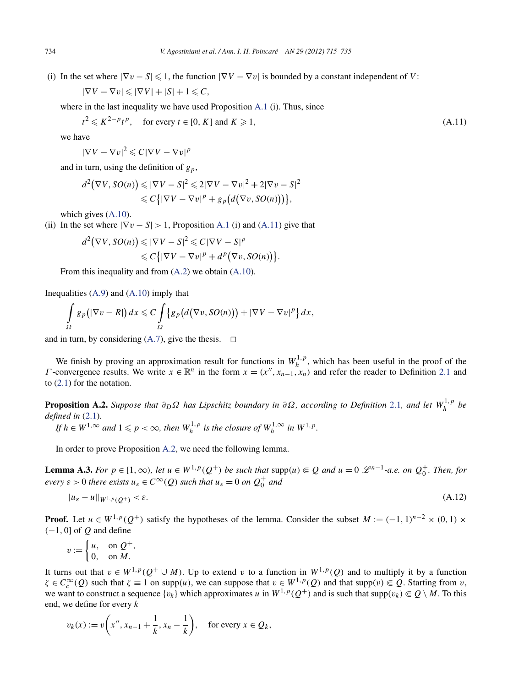<span id="page-19-0"></span>(i) In the set where  $|\nabla v - S| \leq 1$ , the function  $|\nabla V - \nabla v|$  is bounded by a constant independent of *V*:

$$
|\nabla V - \nabla v| \leqslant |\nabla V| + |S| + 1 \leqslant C,
$$

where in the last inequality we have used Proposition [A.1](#page-18-0) (i). Thus, since

$$
t^2 \leqslant K^{2-p}t^p, \quad \text{for every } t \in [0, K] \text{ and } K \geqslant 1,
$$
 (A.11)

we have

 $|\nabla V - \nabla v|^2 \leqslant C|\nabla V - \nabla v|^p$ 

and in turn, using the definition of  $g_p$ ,

$$
d^2(\nabla V, SO(n)) \leq |\nabla V - S|^2 \leq 2|\nabla V - \nabla v|^2 + 2|\nabla v - S|^2
$$
  

$$
\leq C\{|\nabla V - \nabla v|^p + g_p\big(d(\nabla v, SO(n))\big)\},
$$

which gives [\(A.10\)](#page-18-0).

(ii) In the set where  $|\nabla v - S| > 1$ , Proposition [A.1](#page-18-0) (i) and (A.11) give that

$$
d^2(\nabla V, SO(n)) \leq |\nabla V - S|^2 \leq C|\nabla V - S|^p
$$
  

$$
\leq C\{|\nabla V - \nabla v|^p + d^p(\nabla v, SO(n))\}.
$$

From this inequality and from [\(A.2\)](#page-17-0) we obtain [\(A.10\)](#page-18-0).

Inequalities  $(A.9)$  and  $(A.10)$  imply that

$$
\int_{\Omega} g_p(|\nabla v - R|) dx \leqslant C \int_{\Omega} \left\{ g_p(d(\nabla v, SO(n))) + |\nabla V - \nabla v|^p \right\} dx,
$$

and in turn, by considering  $(A.7)$ , give the thesis.  $\Box$ 

We finish by proving an approximation result for functions in  $W_h^{1,p}$ , which has been useful in the proof of the *Γ* -convergence results. We write  $x \in \mathbb{R}^n$  in the form  $x = (x'', x_{n-1}, x_n)$  and refer the reader to Definition [2.1](#page-1-0) and to [\(2.1\)](#page-2-0) for the notation.

**Proposition A.2.** *Suppose that*  $∂<sub>D</sub>Ω$  *has Lipschitz boundary in*  $∂Ω$ *, according to Definition* [2.1](#page-1-0)*, and let*  $W<sup>1,p</sup><sub>h</sub>$ *be defined in* [\(2.1\)](#page-2-0)*.*

 $\int f h \in W^{1,\infty}$  and  $1 \leqslant p < \infty$ , then  $W_h^{1,p}$  is the closure of  $W_h^{1,\infty}$  in  $W^{1,p}$ .

In order to prove Proposition A.2, we need the following lemma.

**Lemma A.3.** For  $p \in [1,\infty)$ , let  $u \in W^{1,p}(Q^+)$  be such that supp $(u) \in Q$  and  $u = 0$   $\mathcal{L}^{n-1}$ -a.e. on  $Q_0^+$ . Then, for *every*  $\varepsilon > 0$  *there exists*  $u_{\varepsilon} \in C^{\infty}(Q)$  *such that*  $u_{\varepsilon} = 0$  *on*  $Q_0^+$  *and* 

$$
||u_{\varepsilon} - u||_{W^{1,p}(Q^+)} < \varepsilon. \tag{A.12}
$$

**Proof.** Let  $u \in W^{1,p}(Q^+)$  satisfy the hypotheses of the lemma. Consider the subset  $M := (-1,1)^{n-2} \times (0,1) \times$ *(*−1*,* 0] of *Q* and define

$$
v := \begin{cases} u, & \text{on } Q^+, \\ 0, & \text{on } M. \end{cases}
$$

It turns out that  $v \in W^{1,p}(\mathcal{Q}^+ \cup M)$ . Up to extend *v* to a function in  $W^{1,p}(\mathcal{Q})$  and to multiply it by a function  $\zeta \in C_c^{\infty}(\mathcal{Q})$  such that  $\zeta \equiv 1$  on supp $(u)$ , we can suppose that  $v \in W^{1,p}(\mathcal{Q})$  and that supp $(v) \subseteq \mathcal{Q}$ . Starting from *v*, we want to construct a sequence  $\{v_k\}$  which approximates *u* in  $W^{1,p}(Q^+)$  and is such that  $\text{supp}(v_k) \subseteq Q \setminus M$ . To this end, we define for every *k*

$$
v_k(x) := v\left(x'', x_{n-1} + \frac{1}{k}, x_n - \frac{1}{k}\right), \quad \text{for every } x \in Q_k,
$$